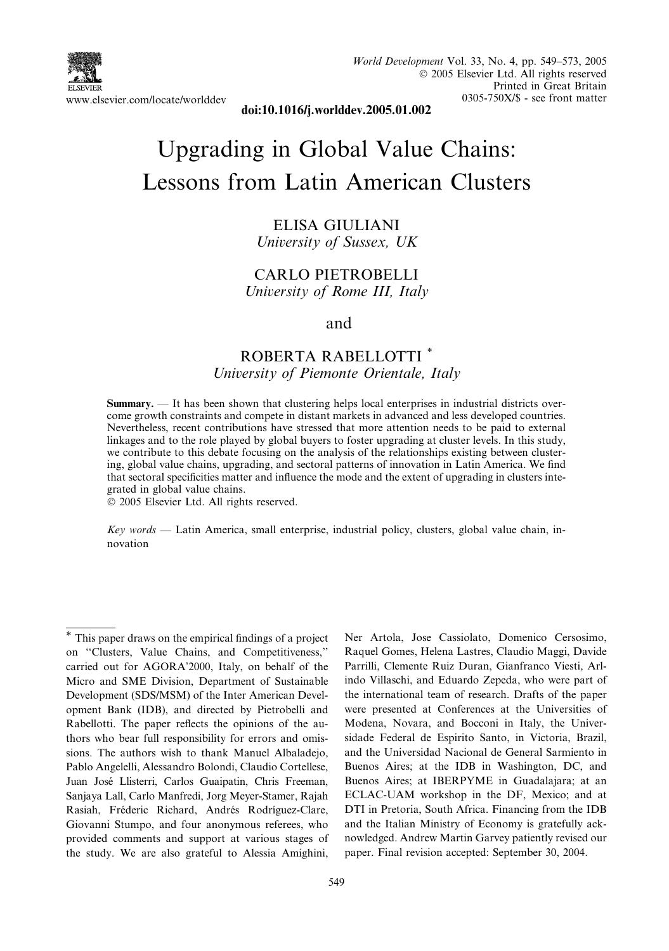

World Development Vol. 33, No. 4, pp. 549–573, 2005 2005 Elsevier Ltd. All rights reserved Printed in Great Britain 0305-750X/\$ - see front matter

doi:10.1016/j.worlddev.2005.01.002

# Upgrading in Global Value Chains: Lessons from Latin American Clusters

# ELISA GIULIANI University of Sussex, UK

CARLO PIETROBELLI University of Rome III, Italy

and

# ROBERTA RABELLOTTI \* University of Piemonte Orientale, Italy

**Summary.**  $\overline{\phantom{a}}$  It has been shown that clustering helps local enterprises in industrial districts overcome growth constraints and compete in distant markets in advanced and less developed countries. Nevertheless, recent contributions have stressed that more attention needs to be paid to external linkages and to the role played by global buyers to foster upgrading at cluster levels. In this study, we contribute to this debate focusing on the analysis of the relationships existing between clustering, global value chains, upgrading, and sectoral patterns of innovation in Latin America. We find that sectoral specificities matter and influence the mode and the extent of upgrading in clusters integrated in global value chains.

 $©$  2005 Elsevier Ltd. All rights reserved.

 $Key words$  — Latin America, small enterprise, industrial policy, clusters, global value chain, innovation

Ner Artola, Jose Cassiolato, Domenico Cersosimo, Raquel Gomes, Helena Lastres, Claudio Maggi, Davide Parrilli, Clemente Ruiz Duran, Gianfranco Viesti, Arlindo Villaschi, and Eduardo Zepeda, who were part of the international team of research. Drafts of the paper were presented at Conferences at the Universities of Modena, Novara, and Bocconi in Italy, the Universidade Federal de Espirito Santo, in Victoria, Brazil, and the Universidad Nacional de General Sarmiento in Buenos Aires; at the IDB in Washington, DC, and Buenos Aires; at IBERPYME in Guadalajara; at an ECLAC-UAM workshop in the DF, Mexico; and at DTI in Pretoria, South Africa. Financing from the IDB and the Italian Ministry of Economy is gratefully acknowledged. Andrew Martin Garvey patiently revised our paper. Final revision accepted: September 30, 2004.

<sup>\*</sup> This paper draws on the empirical findings of a project on ''Clusters, Value Chains, and Competitiveness,'' carried out for AGORA'2000, Italy, on behalf of the Micro and SME Division, Department of Sustainable Development (SDS/MSM) of the Inter American Development Bank (IDB), and directed by Pietrobelli and Rabellotti. The paper reflects the opinions of the authors who bear full responsibility for errors and omissions. The authors wish to thank Manuel Albaladejo, Pablo Angelelli, Alessandro Bolondi, Claudio Cortellese, Juan Jose´ Llisterri, Carlos Guaipatin, Chris Freeman, Sanjaya Lall, Carlo Manfredi, Jorg Meyer-Stamer, Rajah Rasiah, Fréderic Richard, Andrés Rodríguez-Clare, Giovanni Stumpo, and four anonymous referees, who provided comments and support at various stages of the study. We are also grateful to Alessia Amighini,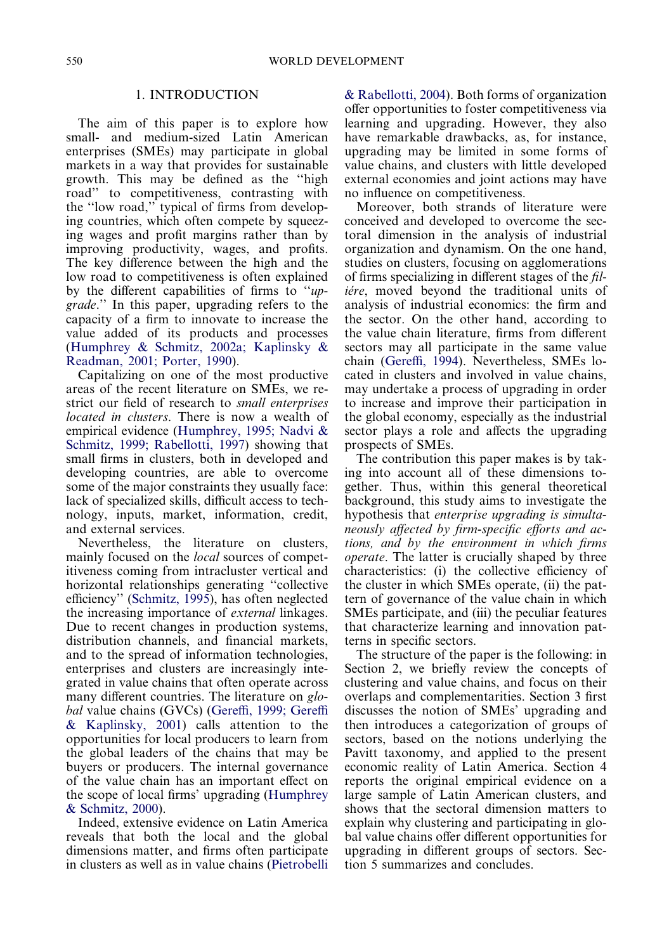# 1. INTRODUCTION

The aim of this paper is to explore how small- and medium-sized Latin American enterprises (SMEs) may participate in global markets in a way that provides for sustainable growth. This may be defined as the ''high road'' to competitiveness, contrasting with the ''low road,'' typical of firms from developing countries, which often compete by squeezing wages and profit margins rather than by improving productivity, wages, and profits. The key difference between the high and the low road to competitiveness is often explained by the different capabilities of firms to ''upgrade.'' In this paper, upgrading refers to the capacity of a firm to innovate to increase the value added of its products and processes [\(Humphrey & Schmitz, 2002a; Kaplinsky &](#page-21-0) [Readman, 2001; Porter, 1990](#page-21-0)).

Capitalizing on one of the most productive areas of the recent literature on SMEs, we restrict our field of research to small enterprises located in clusters. There is now a wealth of empirical evidence ([Humphrey, 1995; Nadvi &](#page-21-0) [Schmitz, 1999; Rabellotti, 1997\)](#page-21-0) showing that small firms in clusters, both in developed and developing countries, are able to overcome some of the major constraints they usually face: lack of specialized skills, difficult access to technology, inputs, market, information, credit, and external services.

Nevertheless, the literature on clusters, mainly focused on the *local* sources of competitiveness coming from intracluster vertical and horizontal relationships generating ''collective efficiency'' [\(Schmitz, 1995\)](#page-22-0), has often neglected the increasing importance of external linkages. Due to recent changes in production systems, distribution channels, and financial markets, and to the spread of information technologies, enterprises and clusters are increasingly integrated in value chains that often operate across many different countries. The literature on global value chains (GVCs) [\(Gereffi, 1999; Gereffi](#page-20-0) [& Kaplinsky, 2001\)](#page-20-0) calls attention to the opportunities for local producers to learn from the global leaders of the chains that may be buyers or producers. The internal governance of the value chain has an important effect on the scope of local firms' upgrading ([Humphrey](#page-21-0) [& Schmitz, 2000](#page-21-0)).

Indeed, extensive evidence on Latin America reveals that both the local and the global dimensions matter, and firms often participate in clusters as well as in value chains [\(Pietrobelli](#page-22-0) [& Rabellotti, 2004](#page-22-0)). Both forms of organization offer opportunities to foster competitiveness via learning and upgrading. However, they also have remarkable drawbacks, as, for instance, upgrading may be limited in some forms of value chains, and clusters with little developed external economies and joint actions may have no influence on competitiveness.

Moreover, both strands of literature were conceived and developed to overcome the sectoral dimension in the analysis of industrial organization and dynamism. On the one hand, studies on clusters, focusing on agglomerations of firms specializing in different stages of the filie're, moved beyond the traditional units of analysis of industrial economics: the firm and the sector. On the other hand, according to the value chain literature, firms from different sectors may all participate in the same value chain ([Gereffi, 1994](#page-20-0)). Nevertheless, SMEs located in clusters and involved in value chains, may undertake a process of upgrading in order to increase and improve their participation in the global economy, especially as the industrial sector plays a role and affects the upgrading prospects of SMEs.

The contribution this paper makes is by taking into account all of these dimensions together. Thus, within this general theoretical background, this study aims to investigate the hypothesis that *enterprise upgrading is simulta*neously affected by firm-specific efforts and actions, and by the environment in which firms operate. The latter is crucially shaped by three characteristics: (i) the collective efficiency of the cluster in which SMEs operate, (ii) the pattern of governance of the value chain in which SMEs participate, and (iii) the peculiar features that characterize learning and innovation patterns in specific sectors.

The structure of the paper is the following: in Section 2, we briefly review the concepts of clustering and value chains, and focus on their overlaps and complementarities. Section 3 first discusses the notion of SMEs' upgrading and then introduces a categorization of groups of sectors, based on the notions underlying the Pavitt taxonomy, and applied to the present economic reality of Latin America. Section 4 reports the original empirical evidence on a large sample of Latin American clusters, and shows that the sectoral dimension matters to explain why clustering and participating in global value chains offer different opportunities for upgrading in different groups of sectors. Section 5 summarizes and concludes.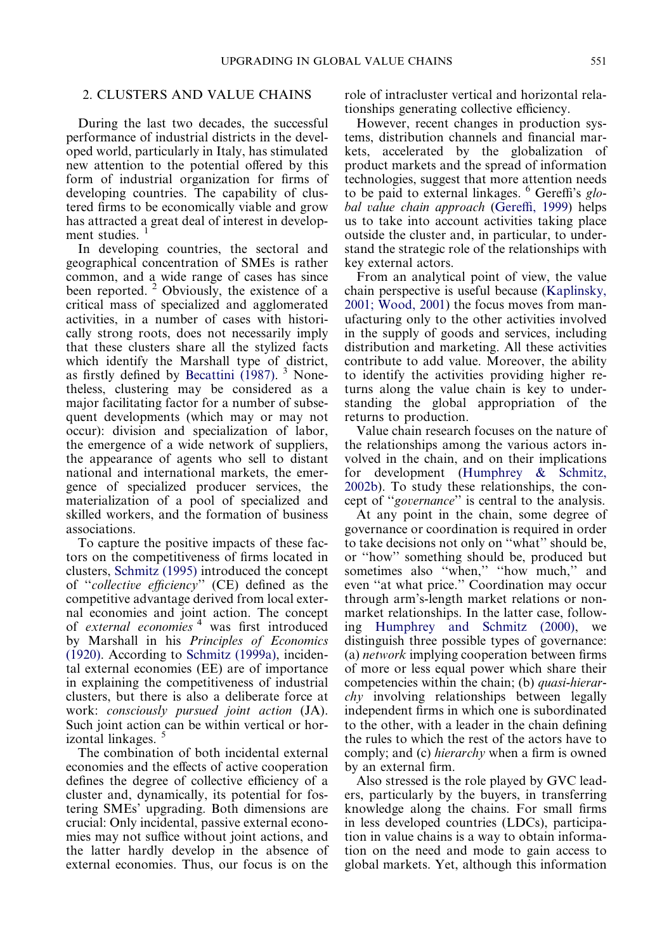# 2. CLUSTERS AND VALUE CHAINS

During the last two decades, the successful performance of industrial districts in the developed world, particularly in Italy, has stimulated new attention to the potential offered by this form of industrial organization for firms of developing countries. The capability of clustered firms to be economically viable and grow has attracted a great deal of interest in development studies.

In developing countries, the sectoral and geographical concentration of SMEs is rather common, and a wide range of cases has since been reported. <sup>2</sup> Obviously, the existence of a critical mass of specialized and agglomerated activities, in a number of cases with historically strong roots, does not necessarily imply that these clusters share all the stylized facts which identify the Marshall type of district, as firstly defined by [Becattini \(1987\).](#page-20-0) <sup>3</sup> Nonetheless, clustering may be considered as a major facilitating factor for a number of subsequent developments (which may or may not occur): division and specialization of labor, the emergence of a wide network of suppliers, the appearance of agents who sell to distant national and international markets, the emergence of specialized producer services, the materialization of a pool of specialized and skilled workers, and the formation of business associations.

To capture the positive impacts of these factors on the competitiveness of firms located in clusters, [Schmitz \(1995\)](#page-22-0) introduced the concept of ''collective efficiency'' (CE) defined as the competitive advantage derived from local external economies and joint action. The concept of external economies<sup>4</sup> was first introduced by Marshall in his Principles of Economics [\(1920\)](#page-21-0). According to [Schmitz \(1999a\)](#page-22-0), incidental external economies (EE) are of importance in explaining the competitiveness of industrial clusters, but there is also a deliberate force at work: consciously pursued joint action (JA). Such joint action can be within vertical or horizontal linkages.<sup>5</sup>

The combination of both incidental external economies and the effects of active cooperation defines the degree of collective efficiency of a cluster and, dynamically, its potential for fostering SMEs' upgrading. Both dimensions are crucial: Only incidental, passive external economies may not suffice without joint actions, and the latter hardly develop in the absence of external economies. Thus, our focus is on the

role of intracluster vertical and horizontal relationships generating collective efficiency.

However, recent changes in production systems, distribution channels and financial markets, accelerated by the globalization of product markets and the spread of information technologies, suggest that more attention needs to be paid to external linkages. <sup>6</sup> Gereffi's global value chain approach [\(Gereffi, 1999](#page-20-0)) helps us to take into account activities taking place outside the cluster and, in particular, to understand the strategic role of the relationships with key external actors.

From an analytical point of view, the value chain perspective is useful because [\(Kaplinsky,](#page-21-0) [2001; Wood, 2001](#page-21-0)) the focus moves from manufacturing only to the other activities involved in the supply of goods and services, including distribution and marketing. All these activities contribute to add value. Moreover, the ability to identify the activities providing higher returns along the value chain is key to understanding the global appropriation of the returns to production.

Value chain research focuses on the nature of the relationships among the various actors involved in the chain, and on their implications for development [\(Humphrey & Schmitz,](#page-21-0) [2002b\)](#page-21-0). To study these relationships, the concept of ''governance'' is central to the analysis.

At any point in the chain, some degree of governance or coordination is required in order to take decisions not only on ''what'' should be, or ''how'' something should be, produced but sometimes also "when," "how much," and even ''at what price.'' Coordination may occur through arm's-length market relations or nonmarket relationships. In the latter case, following [Humphrey and Schmitz \(2000\)](#page-21-0), we distinguish three possible types of governance: (a) network implying cooperation between firms of more or less equal power which share their competencies within the chain; (b) *quasi-hierar*chy involving relationships between legally independent firms in which one is subordinated to the other, with a leader in the chain defining the rules to which the rest of the actors have to comply; and (c) hierarchy when a firm is owned by an external firm.

Also stressed is the role played by GVC leaders, particularly by the buyers, in transferring knowledge along the chains. For small firms in less developed countries (LDCs), participation in value chains is a way to obtain information on the need and mode to gain access to global markets. Yet, although this information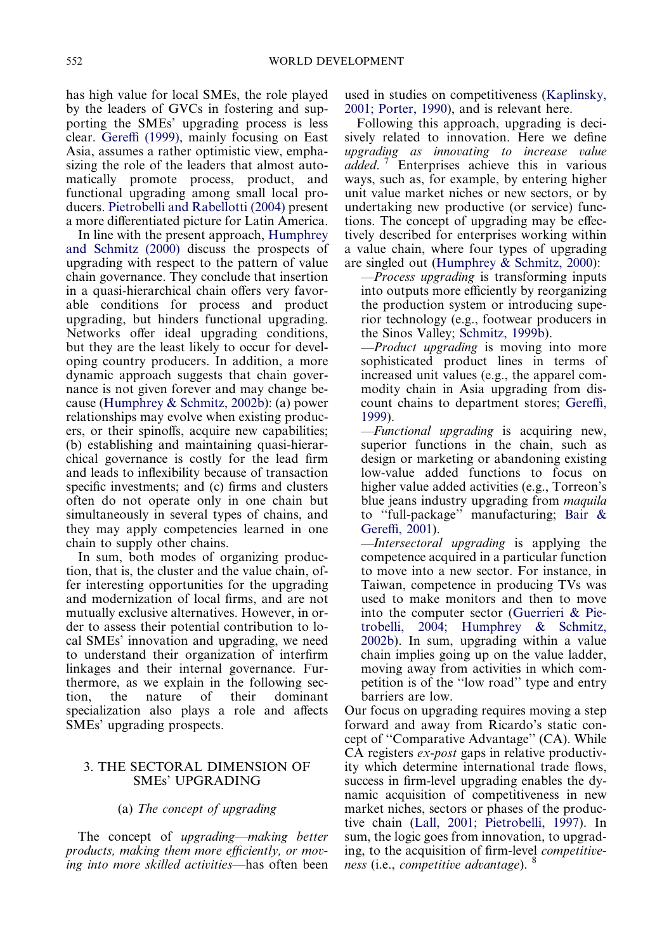has high value for local SMEs, the role played by the leaders of GVCs in fostering and supporting the SMEs' upgrading process is less clear. [Gereffi \(1999\),](#page-20-0) mainly focusing on East Asia, assumes a rather optimistic view, emphasizing the role of the leaders that almost automatically promote process, product, and functional upgrading among small local producers. [Pietrobelli and Rabellotti \(2004\)](#page-22-0) present a more differentiated picture for Latin America.

In line with the present approach, [Humphrey](#page-21-0) [and Schmitz \(2000\)](#page-21-0) discuss the prospects of upgrading with respect to the pattern of value chain governance. They conclude that insertion in a quasi-hierarchical chain offers very favorable conditions for process and product upgrading, but hinders functional upgrading. Networks offer ideal upgrading conditions, but they are the least likely to occur for developing country producers. In addition, a more dynamic approach suggests that chain governance is not given forever and may change because ([Humphrey & Schmitz, 2002b\)](#page-21-0): (a) power relationships may evolve when existing producers, or their spinoffs, acquire new capabilities; (b) establishing and maintaining quasi-hierarchical governance is costly for the lead firm and leads to inflexibility because of transaction specific investments; and (c) firms and clusters often do not operate only in one chain but simultaneously in several types of chains, and they may apply competencies learned in one chain to supply other chains.

In sum, both modes of organizing production, that is, the cluster and the value chain, offer interesting opportunities for the upgrading and modernization of local firms, and are not mutually exclusive alternatives. However, in order to assess their potential contribution to local SMEs' innovation and upgrading, we need to understand their organization of interfirm linkages and their internal governance. Furthermore, as we explain in the following section, the nature of their dominant specialization also plays a role and affects SMEs' upgrading prospects.

#### 3. THE SECTORAL DIMENSION OF SMEs' UPGRADING

#### (a) The concept of upgrading

The concept of upgrading—making better products, making them more efficiently, or moving into more skilled activities—has often been

used in studies on competitiveness [\(Kaplinsky,](#page-21-0) [2001; Porter, 1990](#page-21-0)), and is relevant here.

Following this approach, upgrading is decisively related to innovation. Here we define upgrading as innovating to increase value added.<sup>7</sup> Enterprises achieve this in various ways, such as, for example, by entering higher unit value market niches or new sectors, or by undertaking new productive (or service) functions. The concept of upgrading may be effectively described for enterprises working within a value chain, where four types of upgrading are singled out [\(Humphrey & Schmitz, 2000](#page-21-0)):

—Process upgrading is transforming inputs into outputs more efficiently by reorganizing the production system or introducing superior technology (e.g., footwear producers in the Sinos Valley; [Schmitz, 1999b](#page-22-0)).

—Product upgrading is moving into more sophisticated product lines in terms of increased unit values (e.g., the apparel commodity chain in Asia upgrading from discount chains to department stores; [Gereffi,](#page-20-0) [1999](#page-20-0)).

—Functional upgrading is acquiring new, superior functions in the chain, such as design or marketing or abandoning existing low-value added functions to focus on higher value added activities (e.g., Torreon's blue jeans industry upgrading from maquila to ''full-package'' manufacturing; [Bair &](#page-19-0) [Gereffi, 2001](#page-19-0)).

—Intersectoral upgrading is applying the competence acquired in a particular function to move into a new sector. For instance, in Taiwan, competence in producing TVs was used to make monitors and then to move into the computer sector (Guerrieri & Pie-<br>trobelli, 2004; Humphrey & Schmitz, 2004; Humphrey  $\&$  Schmitz, [2002b\)](#page-21-0). In sum, upgrading within a value chain implies going up on the value ladder, moving away from activities in which competition is of the ''low road'' type and entry barriers are low.

Our focus on upgrading requires moving a step forward and away from Ricardo's static concept of ''Comparative Advantage'' (CA). While CA registers ex-post gaps in relative productivity which determine international trade flows, success in firm-level upgrading enables the dynamic acquisition of competitiveness in new market niches, sectors or phases of the productive chain [\(Lall, 2001; Pietrobelli, 1997](#page-21-0)). In sum, the logic goes from innovation, to upgrading, to the acquisition of firm-level *competitive*ness (i.e., competitive advantage).  $\degree$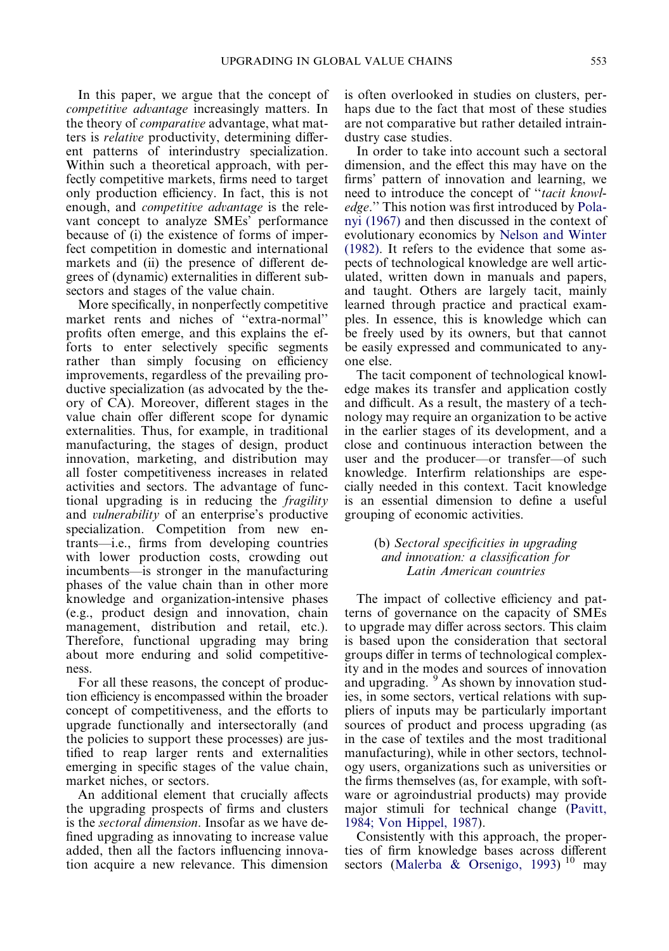In this paper, we argue that the concept of competitive advantage increasingly matters. In the theory of comparative advantage, what matters is relative productivity, determining different patterns of interindustry specialization. Within such a theoretical approach, with perfectly competitive markets, firms need to target only production efficiency. In fact, this is not enough, and competitive advantage is the relevant concept to analyze SMEs' performance because of (i) the existence of forms of imperfect competition in domestic and international markets and (ii) the presence of different degrees of (dynamic) externalities in different subsectors and stages of the value chain.

More specifically, in nonperfectly competitive market rents and niches of ''extra-normal'' profits often emerge, and this explains the efforts to enter selectively specific segments rather than simply focusing on efficiency improvements, regardless of the prevailing productive specialization (as advocated by the theory of CA). Moreover, different stages in the value chain offer different scope for dynamic externalities. Thus, for example, in traditional manufacturing, the stages of design, product innovation, marketing, and distribution may all foster competitiveness increases in related activities and sectors. The advantage of functional upgrading is in reducing the fragility and vulnerability of an enterprise's productive specialization. Competition from new entrants—i.e., firms from developing countries with lower production costs, crowding out incumbents—is stronger in the manufacturing phases of the value chain than in other more knowledge and organization-intensive phases (e.g., product design and innovation, chain management, distribution and retail, etc.). Therefore, functional upgrading may bring about more enduring and solid competitiveness.

For all these reasons, the concept of production efficiency is encompassed within the broader concept of competitiveness, and the efforts to upgrade functionally and intersectorally (and the policies to support these processes) are justified to reap larger rents and externalities emerging in specific stages of the value chain, market niches, or sectors.

An additional element that crucially affects the upgrading prospects of firms and clusters is the sectoral dimension. Insofar as we have defined upgrading as innovating to increase value added, then all the factors influencing innovation acquire a new relevance. This dimension

is often overlooked in studies on clusters, perhaps due to the fact that most of these studies are not comparative but rather detailed intraindustry case studies.

In order to take into account such a sectoral dimension, and the effect this may have on the firms' pattern of innovation and learning, we need to introduce the concept of ''tacit knowledge.'' This notion was first introduced by [Pola](#page-22-0)[nyi \(1967\)](#page-22-0) and then discussed in the context of evolutionary economics by [Nelson and Winter](#page-21-0) [\(1982\).](#page-21-0) It refers to the evidence that some aspects of technological knowledge are well articulated, written down in manuals and papers, and taught. Others are largely tacit, mainly learned through practice and practical examples. In essence, this is knowledge which can be freely used by its owners, but that cannot be easily expressed and communicated to anyone else.

The tacit component of technological knowledge makes its transfer and application costly and difficult. As a result, the mastery of a technology may require an organization to be active in the earlier stages of its development, and a close and continuous interaction between the user and the producer—or transfer—of such knowledge. Interfirm relationships are especially needed in this context. Tacit knowledge is an essential dimension to define a useful grouping of economic activities.

# (b) Sectoral specificities in upgrading and innovation: a classification for Latin American countries

The impact of collective efficiency and patterns of governance on the capacity of SMEs to upgrade may differ across sectors. This claim is based upon the consideration that sectoral groups differ in terms of technological complexity and in the modes and sources of innovation and upgrading. <sup>9</sup> As shown by innovation studies, in some sectors, vertical relations with suppliers of inputs may be particularly important sources of product and process upgrading (as in the case of textiles and the most traditional manufacturing), while in other sectors, technology users, organizations such as universities or the firms themselves (as, for example, with software or agroindustrial products) may provide major stimuli for technical change [\(Pavitt,](#page-21-0) [1984; Von Hippel, 1987\)](#page-21-0).

Consistently with this approach, the properties of firm knowledge bases across different sectors [\(Malerba & Orsenigo, 1993\)](#page-21-0)<sup>10</sup> may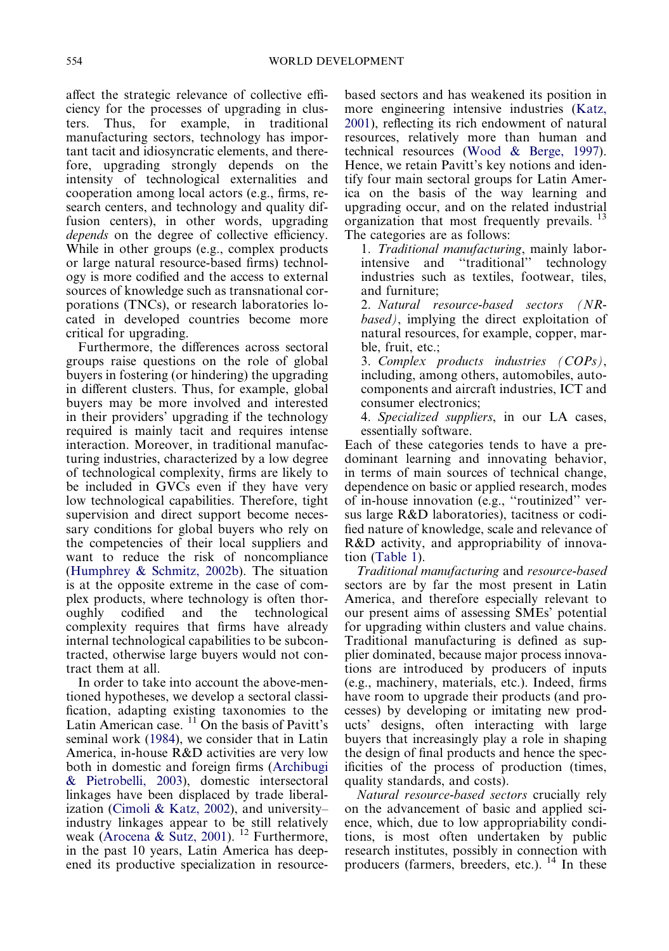affect the strategic relevance of collective efficiency for the processes of upgrading in clusters. Thus, for example, in traditional manufacturing sectors, technology has important tacit and idiosyncratic elements, and therefore, upgrading strongly depends on the intensity of technological externalities and cooperation among local actors (e.g., firms, research centers, and technology and quality diffusion centers), in other words, upgrading depends on the degree of collective efficiency. While in other groups (e.g., complex products or large natural resource-based firms) technology is more codified and the access to external sources of knowledge such as transnational corporations (TNCs), or research laboratories located in developed countries become more critical for upgrading.

Furthermore, the differences across sectoral groups raise questions on the role of global buyers in fostering (or hindering) the upgrading in different clusters. Thus, for example, global buyers may be more involved and interested in their providers' upgrading if the technology required is mainly tacit and requires intense interaction. Moreover, in traditional manufacturing industries, characterized by a low degree of technological complexity, firms are likely to be included in GVCs even if they have very low technological capabilities. Therefore, tight supervision and direct support become necessary conditions for global buyers who rely on the competencies of their local suppliers and want to reduce the risk of noncompliance [\(Humphrey & Schmitz, 2002b](#page-21-0)). The situation is at the opposite extreme in the case of complex products, where technology is often thoroughly codified and the technological complexity requires that firms have already internal technological capabilities to be subcontracted, otherwise large buyers would not contract them at all.

In order to take into account the above-mentioned hypotheses, we develop a sectoral classification, adapting existing taxonomies to the Latin American case.  $^{11}$  On the basis of Pavitt's seminal work ([1984\)](#page-21-0), we consider that in Latin America, in-house R&D activities are very low both in domestic and foreign firms ([Archibugi](#page-19-0) [& Pietrobelli, 2003](#page-19-0)), domestic intersectoral linkages have been displaced by trade liberalization [\(Cimoli & Katz, 2002\)](#page-20-0), and university– industry linkages appear to be still relatively weak [\(Arocena & Sutz, 2001\)](#page-19-0).<sup>12</sup> Furthermore, in the past 10 years, Latin America has deepened its productive specialization in resource-

based sectors and has weakened its position in more engineering intensive industries [\(Katz,](#page-21-0) [2001](#page-21-0)), reflecting its rich endowment of natural resources, relatively more than human and technical resources ([Wood & Berge, 1997\)](#page-22-0). Hence, we retain Pavitt's key notions and identify four main sectoral groups for Latin America on the basis of the way learning and upgrading occur, and on the related industrial organization that most frequently prevails. <sup>13</sup> The categories are as follows:

1. Traditional manufacturing, mainly laborintensive and ''traditional'' technology industries such as textiles, footwear, tiles, and furniture;

2. Natural resource-based sectors (NRbased), implying the direct exploitation of natural resources, for example, copper, marble, fruit, etc.;

3. Complex products industries (COPs), including, among others, automobiles, autocomponents and aircraft industries, ICT and consumer electronics;

4. Specialized suppliers, in our LA cases, essentially software.

Each of these categories tends to have a predominant learning and innovating behavior, in terms of main sources of technical change, dependence on basic or applied research, modes of in-house innovation (e.g., ''routinized'' versus large R&D laboratories), tacitness or codified nature of knowledge, scale and relevance of R&D activity, and appropriability of innovation ([Table 1\)](#page-6-0).

Traditional manufacturing and resource-based sectors are by far the most present in Latin America, and therefore especially relevant to our present aims of assessing SMEs' potential for upgrading within clusters and value chains. Traditional manufacturing is defined as supplier dominated, because major process innovations are introduced by producers of inputs (e.g., machinery, materials, etc.). Indeed, firms have room to upgrade their products (and processes) by developing or imitating new products' designs, often interacting with large buyers that increasingly play a role in shaping the design of final products and hence the specificities of the process of production (times, quality standards, and costs).

Natural resource-based sectors crucially rely on the advancement of basic and applied science, which, due to low appropriability conditions, is most often undertaken by public research institutes, possibly in connection with producers (farmers, breeders, etc.). <sup>14</sup> In these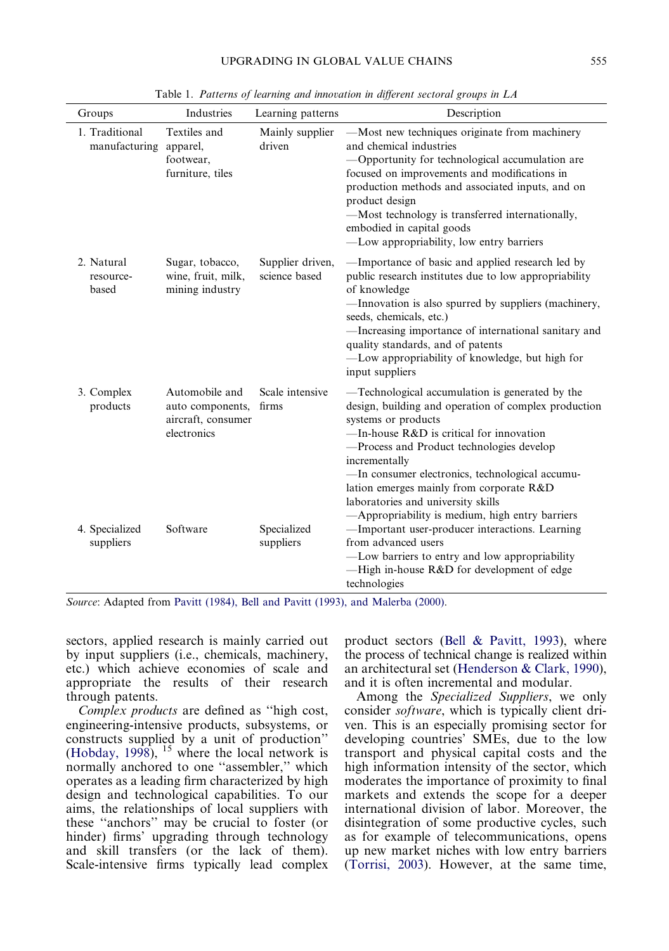<span id="page-6-0"></span>

| Groups                                   | Industries                                                              | Learning patterns                 | Description                                                                                                                                                                                                                                                                                                                                                                                                                      |
|------------------------------------------|-------------------------------------------------------------------------|-----------------------------------|----------------------------------------------------------------------------------------------------------------------------------------------------------------------------------------------------------------------------------------------------------------------------------------------------------------------------------------------------------------------------------------------------------------------------------|
| 1. Traditional<br>manufacturing apparel, | Textiles and<br>footwear,<br>furniture, tiles                           | Mainly supplier<br>driven         | -Most new techniques originate from machinery<br>and chemical industries<br>-Opportunity for technological accumulation are<br>focused on improvements and modifications in<br>production methods and associated inputs, and on<br>product design<br>-Most technology is transferred internationally,<br>embodied in capital goods<br>-Low appropriability, low entry barriers                                                   |
| 2. Natural<br>resource-<br>based         | Sugar, tobacco,<br>wine, fruit, milk,<br>mining industry                | Supplier driven,<br>science based | -Importance of basic and applied research led by<br>public research institutes due to low appropriability<br>of knowledge<br>-Innovation is also spurred by suppliers (machinery,<br>seeds, chemicals, etc.)<br>—Increasing importance of international sanitary and<br>quality standards, and of patents<br>-Low appropriability of knowledge, but high for<br>input suppliers                                                  |
| 3. Complex<br>products                   | Automobile and<br>auto components,<br>aircraft, consumer<br>electronics | Scale intensive<br>firms          | —Technological accumulation is generated by the<br>design, building and operation of complex production<br>systems or products<br>-In-house R&D is critical for innovation<br>-Process and Product technologies develop<br>incrementally<br>-In consumer electronics, technological accumu-<br>lation emerges mainly from corporate R&D<br>laboratories and university skills<br>-Appropriability is medium, high entry barriers |
| 4. Specialized<br>suppliers              | Software                                                                | Specialized<br>suppliers          | -Important user-producer interactions. Learning<br>from advanced users<br>-Low barriers to entry and low appropriability<br>-High in-house R&D for development of edge<br>technologies                                                                                                                                                                                                                                           |

Table 1. Patterns of learning and innovation in different sectoral groups in LA

Source: Adapted from [Pavitt \(1984\), Bell and Pavitt \(1993\), and Malerba \(2000\)](#page-21-0).

sectors, applied research is mainly carried out by input suppliers (i.e., chemicals, machinery, etc.) which achieve economies of scale and appropriate the results of their research through patents.

Complex products are defined as ''high cost, engineering-intensive products, subsystems, or constructs supplied by a unit of production'' [\(Hobday, 1998](#page-21-0)),  $15$  where the local network is normally anchored to one ''assembler,'' which operates as a leading firm characterized by high design and technological capabilities. To our aims, the relationships of local suppliers with these ''anchors'' may be crucial to foster (or hinder) firms' upgrading through technology and skill transfers (or the lack of them). Scale-intensive firms typically lead complex

product sectors [\(Bell & Pavitt, 1993\)](#page-20-0), where the process of technical change is realized within an architectural set ([Henderson & Clark, 1990\)](#page-21-0), and it is often incremental and modular.

Among the Specialized Suppliers, we only consider software, which is typically client driven. This is an especially promising sector for developing countries' SMEs, due to the low transport and physical capital costs and the high information intensity of the sector, which moderates the importance of proximity to final markets and extends the scope for a deeper international division of labor. Moreover, the disintegration of some productive cycles, such as for example of telecommunications, opens up new market niches with low entry barriers ([Torrisi, 2003](#page-22-0)). However, at the same time,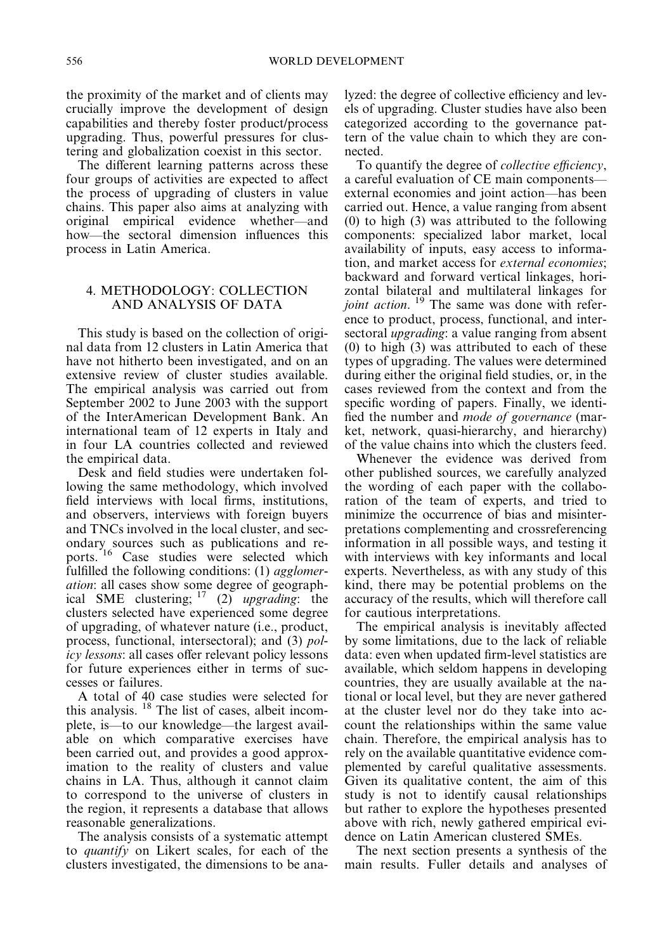the proximity of the market and of clients may crucially improve the development of design capabilities and thereby foster product/process upgrading. Thus, powerful pressures for clustering and globalization coexist in this sector.

The different learning patterns across these four groups of activities are expected to affect the process of upgrading of clusters in value chains. This paper also aims at analyzing with original empirical evidence whether—and how—the sectoral dimension influences this process in Latin America.

#### 4. METHODOLOGY: COLLECTION AND ANALYSIS OF DATA

This study is based on the collection of original data from 12 clusters in Latin America that have not hitherto been investigated, and on an extensive review of cluster studies available. The empirical analysis was carried out from September 2002 to June 2003 with the support of the InterAmerican Development Bank. An international team of 12 experts in Italy and in four LA countries collected and reviewed the empirical data.

Desk and field studies were undertaken following the same methodology, which involved field interviews with local firms, institutions, and observers, interviews with foreign buyers and TNCs involved in the local cluster, and secondary sources such as publications and reports.<sup>16</sup> Case studies were selected which fulfilled the following conditions: (1) agglomeration: all cases show some degree of geographical SME clustering;  $17$  (2) upgrading: the clusters selected have experienced some degree of upgrading, of whatever nature (i.e., product, process, functional, intersectoral); and (3) policy lessons: all cases offer relevant policy lessons for future experiences either in terms of successes or failures.

A total of 40 case studies were selected for this analysis. <sup>18</sup> The list of cases, albeit incomplete, is—to our knowledge—the largest available on which comparative exercises have been carried out, and provides a good approximation to the reality of clusters and value chains in LA. Thus, although it cannot claim to correspond to the universe of clusters in the region, it represents a database that allows reasonable generalizations.

The analysis consists of a systematic attempt to quantify on Likert scales, for each of the clusters investigated, the dimensions to be analyzed: the degree of collective efficiency and levels of upgrading. Cluster studies have also been categorized according to the governance pattern of the value chain to which they are connected.

To quantify the degree of collective efficiency, a careful evaluation of CE main components external economies and joint action—has been carried out. Hence, a value ranging from absent (0) to high (3) was attributed to the following components: specialized labor market, local availability of inputs, easy access to information, and market access for external economies; backward and forward vertical linkages, horizontal bilateral and multilateral linkages for *joint action*.  $^{19}$  The same was done with reference to product, process, functional, and intersectoral *upgrading*: a value ranging from absent (0) to high (3) was attributed to each of these types of upgrading. The values were determined during either the original field studies, or, in the cases reviewed from the context and from the specific wording of papers. Finally, we identified the number and mode of governance (market, network, quasi-hierarchy, and hierarchy) of the value chains into which the clusters feed.

Whenever the evidence was derived from other published sources, we carefully analyzed the wording of each paper with the collaboration of the team of experts, and tried to minimize the occurrence of bias and misinterpretations complementing and crossreferencing information in all possible ways, and testing it with interviews with key informants and local experts. Nevertheless, as with any study of this kind, there may be potential problems on the accuracy of the results, which will therefore call for cautious interpretations.

The empirical analysis is inevitably affected by some limitations, due to the lack of reliable data: even when updated firm-level statistics are available, which seldom happens in developing countries, they are usually available at the national or local level, but they are never gathered at the cluster level nor do they take into account the relationships within the same value chain. Therefore, the empirical analysis has to rely on the available quantitative evidence complemented by careful qualitative assessments. Given its qualitative content, the aim of this study is not to identify causal relationships but rather to explore the hypotheses presented above with rich, newly gathered empirical evidence on Latin American clustered SMEs.

The next section presents a synthesis of the main results. Fuller details and analyses of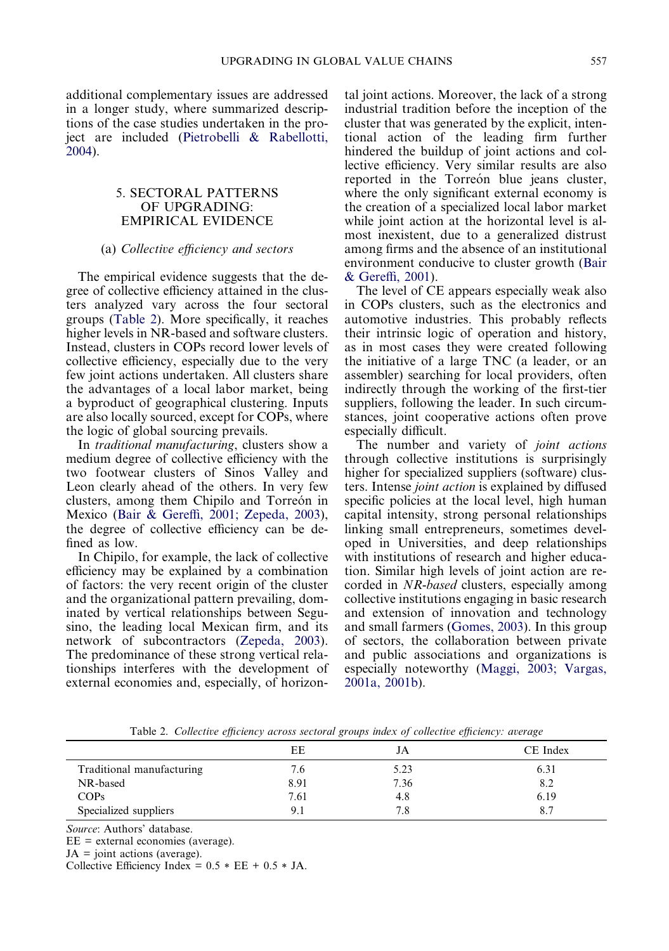additional complementary issues are addressed in a longer study, where summarized descriptions of the case studies undertaken in the project are included [\(Pietrobelli & Rabellotti,](#page-22-0) [2004](#page-22-0)).

#### 5. SECTORAL PATTERNS OF UPGRADING: EMPIRICAL EVIDENCE

#### (a) Collective efficiency and sectors

The empirical evidence suggests that the degree of collective efficiency attained in the clusters analyzed vary across the four sectoral groups (Table 2). More specifically, it reaches higher levels in NR-based and software clusters. Instead, clusters in COPs record lower levels of collective efficiency, especially due to the very few joint actions undertaken. All clusters share the advantages of a local labor market, being a byproduct of geographical clustering. Inputs are also locally sourced, except for COPs, where the logic of global sourcing prevails.

In traditional manufacturing, clusters show a medium degree of collective efficiency with the two footwear clusters of Sinos Valley and Leon clearly ahead of the others. In very few clusters, among them Chipilo and Torreon in Mexico ([Bair & Gereffi, 2001; Zepeda, 2003\)](#page-19-0), the degree of collective efficiency can be defined as low.

In Chipilo, for example, the lack of collective efficiency may be explained by a combination of factors: the very recent origin of the cluster and the organizational pattern prevailing, dominated by vertical relationships between Segusino, the leading local Mexican firm, and its network of subcontractors [\(Zepeda, 2003\)](#page-22-0). The predominance of these strong vertical relationships interferes with the development of external economies and, especially, of horizon-

tal joint actions. Moreover, the lack of a strong industrial tradition before the inception of the cluster that was generated by the explicit, intentional action of the leading firm further hindered the buildup of joint actions and collective efficiency. Very similar results are also reported in the Torreon blue jeans cluster, where the only significant external economy is the creation of a specialized local labor market while joint action at the horizontal level is almost inexistent, due to a generalized distrust among firms and the absence of an institutional environment conducive to cluster growth [\(Bair](#page-19-0) [& Gereffi, 2001](#page-19-0)).

The level of CE appears especially weak also in COPs clusters, such as the electronics and automotive industries. This probably reflects their intrinsic logic of operation and history, as in most cases they were created following the initiative of a large TNC (a leader, or an assembler) searching for local providers, often indirectly through the working of the first-tier suppliers, following the leader. In such circumstances, joint cooperative actions often prove especially difficult.

The number and variety of *joint actions* through collective institutions is surprisingly higher for specialized suppliers (software) clusters. Intense joint action is explained by diffused specific policies at the local level, high human capital intensity, strong personal relationships linking small entrepreneurs, sometimes developed in Universities, and deep relationships with institutions of research and higher education. Similar high levels of joint action are recorded in NR-based clusters, especially among collective institutions engaging in basic research and extension of innovation and technology and small farmers [\(Gomes, 2003\)](#page-21-0). In this group of sectors, the collaboration between private and public associations and organizations is especially noteworthy ([Maggi, 2003; Vargas,](#page-21-0) [2001a, 2001b\)](#page-21-0).

|                           | <br>$\sim$ |      |          |
|---------------------------|------------|------|----------|
|                           | EЕ         |      | CE Index |
| Traditional manufacturing | 7.6        | 5.23 | 6.31     |
| NR-based                  | 8.91       | 7.36 | 8.2      |
| COPs                      | 7.61       | 4.8  | 6.19     |
| Specialized suppliers     |            |      | 8.7      |

Table 2. Collective efficiency across sectoral groups index of collective efficiency: average

Source: Authors' database.

EE = external economies (average).

 $JA = joint actions (average).$ 

Collective Efficiency Index =  $0.5 * EE + 0.5 * JA$ .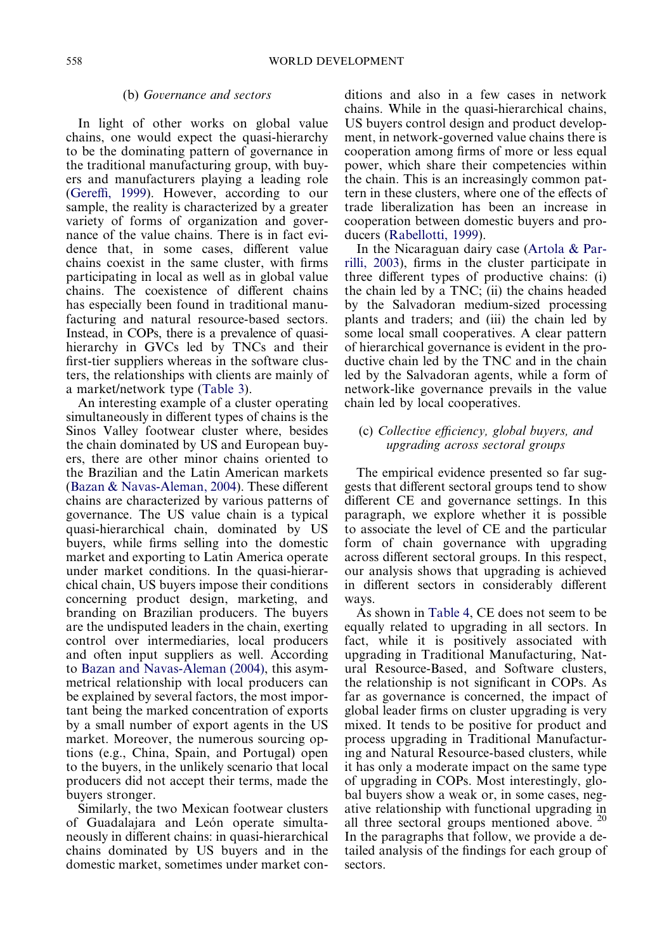#### (b) Governance and sectors

In light of other works on global value chains, one would expect the quasi-hierarchy to be the dominating pattern of governance in the traditional manufacturing group, with buyers and manufacturers playing a leading role [\(Gereffi, 1999\)](#page-20-0). However, according to our sample, the reality is characterized by a greater variety of forms of organization and governance of the value chains. There is in fact evidence that, in some cases, different value chains coexist in the same cluster, with firms participating in local as well as in global value chains. The coexistence of different chains has especially been found in traditional manufacturing and natural resource-based sectors. Instead, in COPs, there is a prevalence of quasihierarchy in GVCs led by TNCs and their first-tier suppliers whereas in the software clusters, the relationships with clients are mainly of a market/network type ([Table 3](#page-10-0)).

An interesting example of a cluster operating simultaneously in different types of chains is the Sinos Valley footwear cluster where, besides the chain dominated by US and European buyers, there are other minor chains oriented to the Brazilian and the Latin American markets [\(Bazan & Navas-Aleman, 2004\)](#page-19-0). These different chains are characterized by various patterns of governance. The US value chain is a typical quasi-hierarchical chain, dominated by US buyers, while firms selling into the domestic market and exporting to Latin America operate under market conditions. In the quasi-hierarchical chain, US buyers impose their conditions concerning product design, marketing, and branding on Brazilian producers. The buyers are the undisputed leaders in the chain, exerting control over intermediaries, local producers and often input suppliers as well. According to [Bazan and Navas-Aleman \(2004\)](#page-19-0), this asymmetrical relationship with local producers can be explained by several factors, the most important being the marked concentration of exports by a small number of export agents in the US market. Moreover, the numerous sourcing options (e.g., China, Spain, and Portugal) open to the buyers, in the unlikely scenario that local producers did not accept their terms, made the buyers stronger.

Similarly, the two Mexican footwear clusters of Guadalajara and León operate simultaneously in different chains: in quasi-hierarchical chains dominated by US buyers and in the domestic market, sometimes under market conditions and also in a few cases in network chains. While in the quasi-hierarchical chains, US buyers control design and product development, in network-governed value chains there is cooperation among firms of more or less equal power, which share their competencies within the chain. This is an increasingly common pattern in these clusters, where one of the effects of trade liberalization has been an increase in cooperation between domestic buyers and producers ([Rabellotti, 1999](#page-22-0)).

In the Nicaraguan dairy case [\(Artola & Par](#page-19-0)[rilli, 2003](#page-19-0)), firms in the cluster participate in three different types of productive chains: (i) the chain led by a TNC; (ii) the chains headed by the Salvadoran medium-sized processing plants and traders; and (iii) the chain led by some local small cooperatives. A clear pattern of hierarchical governance is evident in the productive chain led by the TNC and in the chain led by the Salvadoran agents, while a form of network-like governance prevails in the value chain led by local cooperatives.

#### (c) Collective efficiency, global buyers, and upgrading across sectoral groups

The empirical evidence presented so far suggests that different sectoral groups tend to show different CE and governance settings. In this paragraph, we explore whether it is possible to associate the level of CE and the particular form of chain governance with upgrading across different sectoral groups. In this respect, our analysis shows that upgrading is achieved in different sectors in considerably different ways.

As shown in [Table 4,](#page-11-0) CE does not seem to be equally related to upgrading in all sectors. In fact, while it is positively associated with upgrading in Traditional Manufacturing, Natural Resource-Based, and Software clusters, the relationship is not significant in COPs. As far as governance is concerned, the impact of global leader firms on cluster upgrading is very mixed. It tends to be positive for product and process upgrading in Traditional Manufacturing and Natural Resource-based clusters, while it has only a moderate impact on the same type of upgrading in COPs. Most interestingly, global buyers show a weak or, in some cases, negative relationship with functional upgrading in all three sectoral groups mentioned above.<sup>20</sup> In the paragraphs that follow, we provide a detailed analysis of the findings for each group of sectors.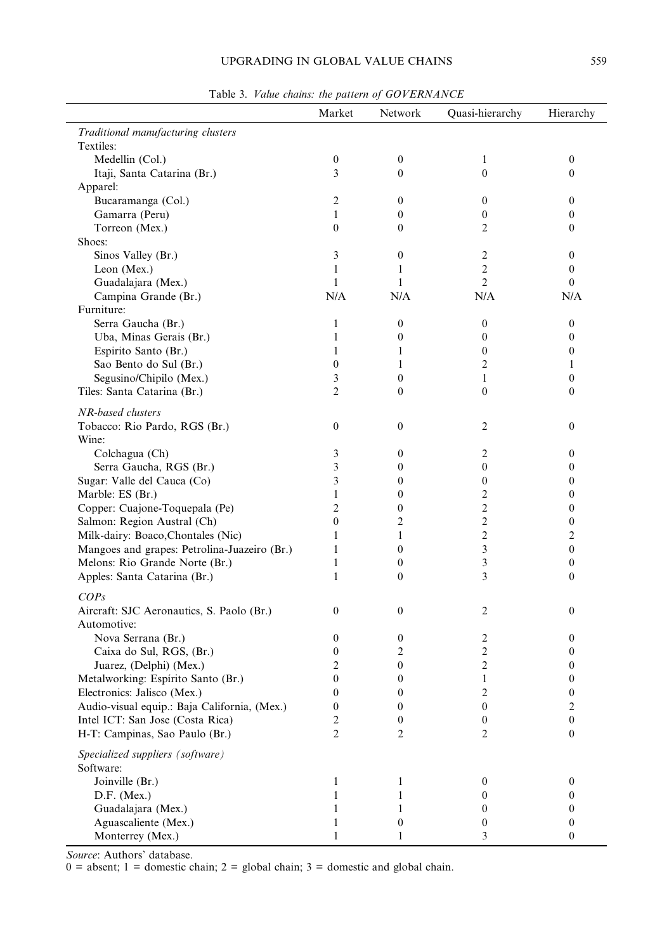#### UPGRADING IN GLOBAL VALUE CHAINS 559

<span id="page-10-0"></span>

|                                               | Market           | Network          | Quasi-hierarchy     | Hierarchy         |
|-----------------------------------------------|------------------|------------------|---------------------|-------------------|
| Traditional manufacturing clusters            |                  |                  |                     |                   |
| Textiles:                                     |                  |                  |                     |                   |
| Medellin (Col.)                               | $\boldsymbol{0}$ | $\boldsymbol{0}$ | 1                   | $\boldsymbol{0}$  |
| Itaji, Santa Catarina (Br.)                   | 3                | $\mathbf{0}$     | $\theta$            | $\Omega$          |
| Apparel:                                      |                  |                  |                     |                   |
| Bucaramanga (Col.)                            | 2                | $\boldsymbol{0}$ | $\mathbf{0}$        | $\mathbf{0}$      |
| Gamarra (Peru)                                | $\mathbf{1}$     | 0                | $\mathbf{0}$        | $\mathbf{0}$      |
| Torreon (Mex.)                                | $\mathbf{0}$     | $\boldsymbol{0}$ | 2                   | $\mathbf{0}$      |
| Shoes:                                        |                  |                  |                     |                   |
| Sinos Valley (Br.)                            | 3                | $\boldsymbol{0}$ | 2                   | $\boldsymbol{0}$  |
| Leon (Mex.)                                   | 1                | 1                | 2                   | $\mathbf{0}$      |
| Guadalajara (Mex.)                            | 1                | 1                | $\overline{2}$      | $\mathbf{0}$      |
| Campina Grande (Br.)                          | N/A              | N/A              | N/A                 | N/A               |
| Furniture:                                    |                  |                  |                     |                   |
| Serra Gaucha (Br.)                            | 1                | $\boldsymbol{0}$ | 0                   | 0                 |
| Uba, Minas Gerais (Br.)                       | $\mathbf{1}$     | $\boldsymbol{0}$ | $\mathbf{0}$        | $\mathbf{0}$      |
| Espirito Santo (Br.)                          | $\mathbf{1}$     | 1                | 0                   | $\mathbf{0}$      |
| Sao Bento do Sul (Br.)                        | $\mathbf{0}$     | 1                | 2                   | 1                 |
| Segusino/Chipilo (Mex.)                       | 3                | $\boldsymbol{0}$ | 1                   | $\boldsymbol{0}$  |
| Tiles: Santa Catarina (Br.)                   | $\overline{2}$   | $\boldsymbol{0}$ | 0                   | $\mathbf{0}$      |
| NR-based clusters                             |                  |                  |                     |                   |
| Tobacco: Rio Pardo, RGS (Br.)                 | $\boldsymbol{0}$ | $\boldsymbol{0}$ | 2                   | 0                 |
| Wine:                                         |                  |                  |                     |                   |
| Colchagua (Ch)                                | 3                | 0                | 2                   | $\mathbf{0}$      |
| Serra Gaucha, RGS (Br.)                       | 3                | 0                | $\boldsymbol{0}$    | 0                 |
| Sugar: Valle del Cauca (Co)                   | 3                | $\boldsymbol{0}$ | $\boldsymbol{0}$    | $\boldsymbol{0}$  |
| Marble: ES (Br.)                              | $\mathbf{1}$     | $\boldsymbol{0}$ | 2                   | $\boldsymbol{0}$  |
| Copper: Cuajone-Toquepala (Pe)                | $\mathfrak{2}$   | $\boldsymbol{0}$ | 2                   | $\boldsymbol{0}$  |
| Salmon: Region Austral (Ch)                   | $\mathbf{0}$     | 2                | $\overline{2}$      | $\boldsymbol{0}$  |
| Milk-dairy: Boaco, Chontales (Nic)            | 1                | 1                | $\overline{2}$      | 2                 |
| Mangoes and grapes: Petrolina-Juazeiro (Br.)  | $\mathbf{1}$     | $\boldsymbol{0}$ | 3                   | $\boldsymbol{0}$  |
| Melons: Rio Grande Norte (Br.)                | $\mathbf{1}$     | $\boldsymbol{0}$ | 3                   | $\boldsymbol{0}$  |
| Apples: Santa Catarina (Br.)                  | 1                | $\boldsymbol{0}$ | 3                   | $\mathbf{0}$      |
| COPs                                          |                  |                  |                     |                   |
| Aircraft: SJC Aeronautics, S. Paolo (Br.)     | $\boldsymbol{0}$ | $\boldsymbol{0}$ | 2                   | $\mathbf{0}$      |
| Automotive:                                   |                  |                  |                     |                   |
| Nova Serrana (Br.)                            | $\boldsymbol{0}$ | $\boldsymbol{0}$ | 2                   | $\mathbf{0}$      |
| Caixa do Sul, RGS, (Br.)                      | $\mathbf{0}$     | 2                | 2                   | $\mathbf{0}$      |
| Juarez, (Delphi) (Mex.)                       | 2                | 0                | $\overline{2}$      | 0                 |
| Metalworking: Espírito Santo (Br.)            | $\mathbf{0}$     | $\boldsymbol{0}$ | $\mathbf{1}$        | $\boldsymbol{0}$  |
| Electronics: Jalisco (Mex.)                   | $\boldsymbol{0}$ | $\boldsymbol{0}$ | 2                   | $\boldsymbol{0}$  |
| Audio-visual equip.: Baja California, (Mex.)  | $\mathbf{0}$     | $\boldsymbol{0}$ | $\boldsymbol{0}$    | 2                 |
| Intel ICT: San Jose (Costa Rica)              | $\overline{c}$   | $\boldsymbol{0}$ | $\boldsymbol{0}$    | $\boldsymbol{0}$  |
| H-T: Campinas, Sao Paulo (Br.)                | $\mathfrak{2}$   | $\overline{2}$   | 2                   | $\theta$          |
|                                               |                  |                  |                     |                   |
| Specialized suppliers (software)<br>Software: |                  |                  |                     |                   |
| Joinville (Br.)                               |                  |                  |                     |                   |
| $D.F.$ (Mex.)                                 | 1<br>1           | 1<br>1           | 0<br>$\overline{0}$ | 0<br>$\mathbf{0}$ |
| Guadalajara (Mex.)                            | $\mathbf{1}$     | 1                | $\overline{0}$      | $\boldsymbol{0}$  |
| Aguascaliente (Mex.)                          | 1                | $\boldsymbol{0}$ | 0                   | $\boldsymbol{0}$  |
|                                               | 1                | 1                | 3                   | $\boldsymbol{0}$  |
| Monterrey (Mex.)                              |                  |                  |                     |                   |

Table 3. Value chains: the pattern of GOVERNANCE

Source: Authors' database.

 $0 =$  absent; 1 = domestic chain; 2 = global chain; 3 = domestic and global chain.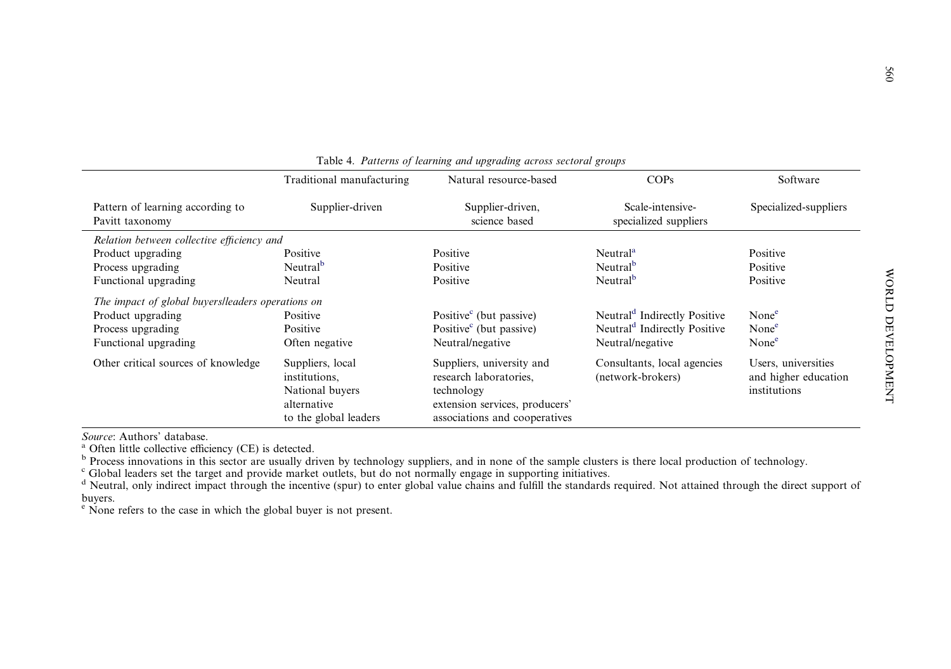<span id="page-11-0"></span>

|                                                     | Traditional manufacturing                                                                    | Natural resource-based                                                                                                               | COPs                                             | Software                                                    |
|-----------------------------------------------------|----------------------------------------------------------------------------------------------|--------------------------------------------------------------------------------------------------------------------------------------|--------------------------------------------------|-------------------------------------------------------------|
| Pattern of learning according to<br>Pavitt taxonomy | Supplier-driven                                                                              | Supplier-driven,<br>science based                                                                                                    | Scale-intensive-<br>specialized suppliers        | Specialized-suppliers                                       |
| Relation between collective efficiency and          |                                                                                              |                                                                                                                                      |                                                  |                                                             |
| Product upgrading                                   | Positive                                                                                     | Positive                                                                                                                             | Neutral <sup>a</sup>                             | Positive                                                    |
| Process upgrading                                   | Neutral <sup>b</sup>                                                                         | Positive                                                                                                                             | Neutral <sup>b</sup>                             | Positive                                                    |
| Functional upgrading                                | Neutral                                                                                      | Positive                                                                                                                             | Neutral <sup>b</sup>                             | Positive                                                    |
| The impact of global buyers/leaders operations on   |                                                                                              |                                                                                                                                      |                                                  |                                                             |
| Product upgrading                                   | Positive                                                                                     | Positive <sup>c</sup> (but passive)                                                                                                  | Neutral <sup>d</sup> Indirectly Positive         | Nonee                                                       |
| Process upgrading                                   | Positive                                                                                     | Positive <sup>c</sup> (but passive)                                                                                                  | Neutral <sup>d</sup> Indirectly Positive         | None <sup>e</sup>                                           |
| Functional upgrading                                | Often negative                                                                               | Neutral/negative                                                                                                                     | Neutral/negative                                 | Nonee                                                       |
| Other critical sources of knowledge                 | Suppliers, local<br>institutions.<br>National buyers<br>alternative<br>to the global leaders | Suppliers, university and<br>research laboratories,<br>technology<br>extension services, producers'<br>associations and cooperatives | Consultants, local agencies<br>(network-brokers) | Users, universities<br>and higher education<br>institutions |

Table 4. Patterns of learning and upgrading across sectoral groups

Source: Authors' database.

<sup>a</sup> Often little collective efficiency (CE) is detected.<br><sup>b</sup> Process innovations in this sector are usually driven by technology suppliers, and in none of the sample clusters is there local production of technology.<br><sup>c</sup> Gl buyers.

<sup>e</sup> None refers to the case in which the global buyer is not present.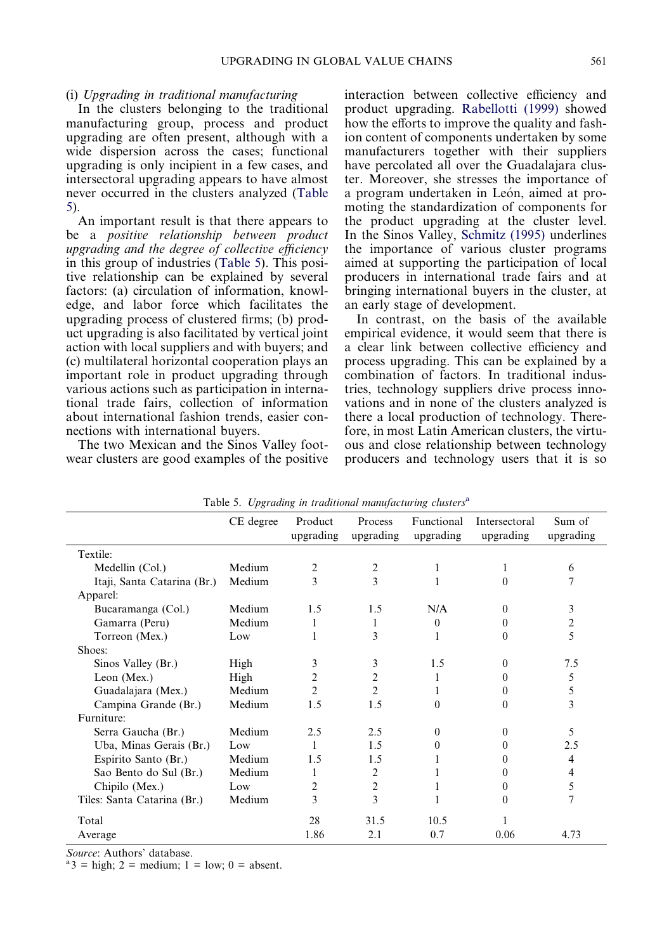## <span id="page-12-0"></span>(i) Upgrading in traditional manufacturing

In the clusters belonging to the traditional manufacturing group, process and product upgrading are often present, although with a wide dispersion across the cases; functional upgrading is only incipient in a few cases, and intersectoral upgrading appears to have almost never occurred in the clusters analyzed (Table 5).

An important result is that there appears to be a positive relationship between product upgrading and the degree of collective efficiency in this group of industries (Table 5). This positive relationship can be explained by several factors: (a) circulation of information, knowledge, and labor force which facilitates the upgrading process of clustered firms; (b) product upgrading is also facilitated by vertical joint action with local suppliers and with buyers; and (c) multilateral horizontal cooperation plays an important role in product upgrading through various actions such as participation in international trade fairs, collection of information about international fashion trends, easier connections with international buyers.

The two Mexican and the Sinos Valley footwear clusters are good examples of the positive interaction between collective efficiency and product upgrading. [Rabellotti \(1999\)](#page-22-0) showed how the efforts to improve the quality and fashion content of components undertaken by some manufacturers together with their suppliers have percolated all over the Guadalajara cluster. Moreover, she stresses the importance of a program undertaken in León, aimed at promoting the standardization of components for the product upgrading at the cluster level. In the Sinos Valley, [Schmitz \(1995\)](#page-22-0) underlines the importance of various cluster programs aimed at supporting the participation of local producers in international trade fairs and at bringing international buyers in the cluster, at an early stage of development.

In contrast, on the basis of the available empirical evidence, it would seem that there is a clear link between collective efficiency and process upgrading. This can be explained by a combination of factors. In traditional industries, technology suppliers drive process innovations and in none of the clusters analyzed is there a local production of technology. Therefore, in most Latin American clusters, the virtuous and close relationship between technology producers and technology users that it is so

|                             | CE degree | Product<br>upgrading | Process<br>upgrading | Functional<br>upgrading | Intersectoral<br>upgrading | Sum of<br>upgrading |
|-----------------------------|-----------|----------------------|----------------------|-------------------------|----------------------------|---------------------|
| Textile:                    |           |                      |                      |                         |                            |                     |
| Medellin (Col.)             | Medium    | 2                    | $\overline{2}$       |                         |                            | 6                   |
| Itaji, Santa Catarina (Br.) | Medium    | 3                    | 3                    |                         | $\theta$                   |                     |
| Apparel:                    |           |                      |                      |                         |                            |                     |
| Bucaramanga (Col.)          | Medium    | 1.5                  | 1.5                  | N/A                     | 0                          | 3                   |
| Gamarra (Peru)              | Medium    |                      | 1                    | $\Omega$                | $\theta$                   | 2                   |
| Torreon (Mex.)              | Low       |                      | 3                    |                         | $\theta$                   | 5                   |
| Shoes:                      |           |                      |                      |                         |                            |                     |
| Sinos Valley (Br.)          | High      | 3                    | 3                    | 1.5                     | $\theta$                   | 7.5                 |
| Leon $(Mex.)$               | High      | $\overline{c}$       | 2                    | 1                       | $\theta$                   | 5                   |
| Guadalajara (Mex.)          | Medium    | $\overline{c}$       | $\overline{2}$       |                         | 0                          | 5                   |
| Campina Grande (Br.)        | Medium    | 1.5                  | 1.5                  | 0                       | $\theta$                   | 3                   |
| Furniture:                  |           |                      |                      |                         |                            |                     |
| Serra Gaucha (Br.)          | Medium    | 2.5                  | 2.5                  | $\theta$                | $\theta$                   | 5                   |
| Uba, Minas Gerais (Br.)     | Low       | 1                    | 1.5                  | 0                       | $\theta$                   | 2.5                 |
| Espirito Santo (Br.)        | Medium    | 1.5                  | 1.5                  |                         | $\theta$                   | 4                   |
| Sao Bento do Sul (Br.)      | Medium    |                      | 2                    |                         | $\theta$                   | 4                   |
| Chipilo (Mex.)              | Low       | 2                    | $\mathfrak{2}$       |                         | $\theta$                   | 5                   |
| Tiles: Santa Catarina (Br.) | Medium    | 3                    | 3                    |                         | $\Omega$                   | 7                   |
| Total                       |           | 28                   | 31.5                 | 10 <sub>5</sub>         |                            |                     |
| Average                     |           | 1.86                 | 2.1                  | 0.7                     | 0.06                       | 4.73                |

Table 5. Upgrading in traditional manufacturing clusters<sup>a</sup>

Source: Authors' database.

 $a_3$  = high; 2 = medium; 1 = low; 0 = absent.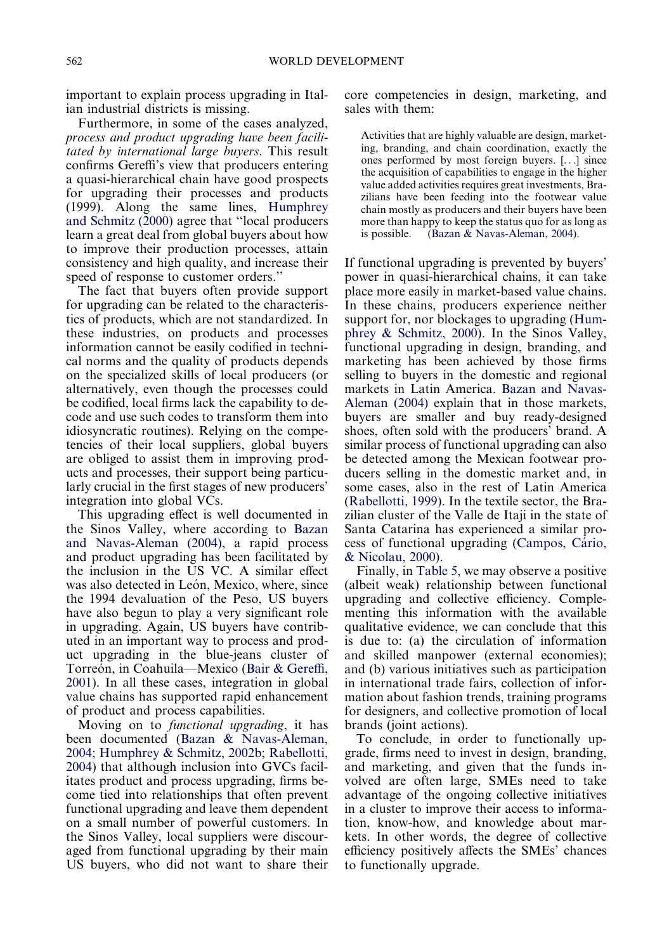important to explain process upgrading in Italian industrial districts is missing.

Furthermore, in some of the cases analyzed, process and product upgrading have been facilitated by international large buyers. This result confirms Gereffi's view that producers entering a quasi-hierarchical chain have good prospects for upgrading their processes and products (1999). Along the same lines, [Humphrey](#page-21-0) [and Schmitz \(2000\)](#page-21-0) agree that ''local producers learn a great deal from global buyers about how to improve their production processes, attain consistency and high quality, and increase their speed of response to customer orders.''

The fact that buyers often provide support for upgrading can be related to the characteristics of products, which are not standardized. In these industries, on products and processes information cannot be easily codified in technical norms and the quality of products depends on the specialized skills of local producers (or alternatively, even though the processes could be codified, local firms lack the capability to decode and use such codes to transform them into idiosyncratic routines). Relying on the competencies of their local suppliers, global buyers are obliged to assist them in improving products and processes, their support being particularly crucial in the first stages of new producers' integration into global VCs.

This upgrading effect is well documented in the Sinos Valley, where according to [Bazan](#page-19-0) [and Navas-Aleman \(2004\),](#page-19-0) a rapid process and product upgrading has been facilitated by the inclusion in the US VC. A similar effect was also detected in León, Mexico, where, since the 1994 devaluation of the Peso, US buyers have also begun to play a very significant role in upgrading. Again, US buyers have contributed in an important way to process and product upgrading in the blue-jeans cluster of Torreón, in Coahuila—Mexico ([Bair & Gereffi,](#page-19-0) [2001](#page-19-0)). In all these cases, integration in global value chains has supported rapid enhancement of product and process capabilities.

Moving on to functional upgrading, it has been documented ([Bazan & Navas-Aleman,](#page-19-0) [2004; Humphrey & Schmitz, 2002b; Rabellotti,](#page-19-0) [2004](#page-19-0)) that although inclusion into GVCs facilitates product and process upgrading, firms become tied into relationships that often prevent functional upgrading and leave them dependent on a small number of powerful customers. In the Sinos Valley, local suppliers were discouraged from functional upgrading by their main US buyers, who did not want to share their core competencies in design, marketing, and sales with them:

Activities that are highly valuable are design, marketing, branding, and chain coordination, exactly the ones performed by most foreign buyers. [...] since the acquisition of capabilities to engage in the higher value added activities requires great investments, Brazilians have been feeding into the footwear value chain mostly as producers and their buyers have been more than happy to keep the status quo for as long as is possible. ([Bazan & Navas-Aleman, 2004](#page-19-0)).

If functional upgrading is prevented by buyers' power in quasi-hierarchical chains, it can take place more easily in market-based value chains. In these chains, producers experience neither support for, nor blockages to upgrading ([Hum](#page-21-0)[phrey & Schmitz, 2000](#page-21-0)). In the Sinos Valley, functional upgrading in design, branding, and marketing has been achieved by those firms selling to buyers in the domestic and regional markets in Latin America. [Bazan and Navas-](#page-19-0)[Aleman \(2004\)](#page-19-0) explain that in those markets, buyers are smaller and buy ready-designed shoes, often sold with the producers' brand. A similar process of functional upgrading can also be detected among the Mexican footwear producers selling in the domestic market and, in some cases, also in the rest of Latin America ([Rabellotti, 1999](#page-22-0)). In the textile sector, the Brazilian cluster of the Valle de Itaji in the state of Santa Catarina has experienced a similar process of functional upgrading (Campos, Cário, [& Nicolau, 2000\)](#page-20-0).

Finally, in [Table 5,](#page-12-0) we may observe a positive (albeit weak) relationship between functional upgrading and collective efficiency. Complementing this information with the available qualitative evidence, we can conclude that this is due to: (a) the circulation of information and skilled manpower (external economies); and (b) various initiatives such as participation in international trade fairs, collection of information about fashion trends, training programs for designers, and collective promotion of local brands (joint actions).

To conclude, in order to functionally upgrade, firms need to invest in design, branding, and marketing, and given that the funds involved are often large, SMEs need to take advantage of the ongoing collective initiatives in a cluster to improve their access to information, know-how, and knowledge about markets. In other words, the degree of collective efficiency positively affects the SMEs' chances to functionally upgrade.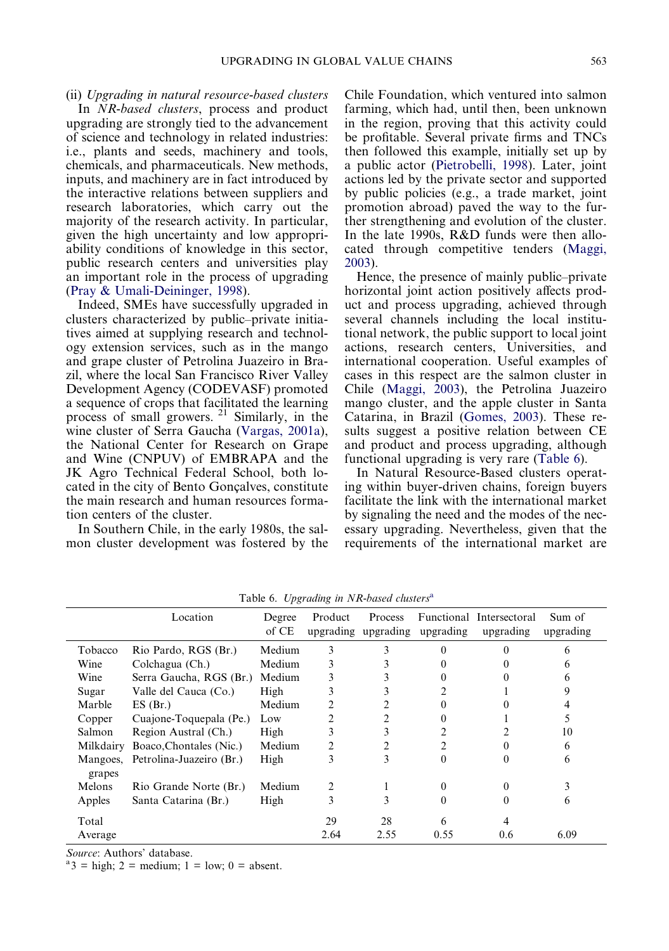(ii) Upgrading in natural resource-based clusters

In NR-based clusters, process and product upgrading are strongly tied to the advancement of science and technology in related industries: i.e., plants and seeds, machinery and tools, chemicals, and pharmaceuticals. New methods, inputs, and machinery are in fact introduced by the interactive relations between suppliers and research laboratories, which carry out the majority of the research activity. In particular, given the high uncertainty and low appropriability conditions of knowledge in this sector, public research centers and universities play an important role in the process of upgrading [\(Pray & Umali-Deininger, 1998\)](#page-22-0).

Indeed, SMEs have successfully upgraded in clusters characterized by public–private initiatives aimed at supplying research and technology extension services, such as in the mango and grape cluster of Petrolina Juazeiro in Brazil, where the local San Francisco River Valley Development Agency (CODEVASF) promoted a sequence of crops that facilitated the learning process of small growers. <sup>21</sup> Similarly, in the wine cluster of Serra Gaucha ([Vargas, 2001a\)](#page-22-0), the National Center for Research on Grape and Wine (CNPUV) of EMBRAPA and the JK Agro Technical Federal School, both located in the city of Bento Goncalves, constitute the main research and human resources formation centers of the cluster.

In Southern Chile, in the early 1980s, the salmon cluster development was fostered by the

Chile Foundation, which ventured into salmon farming, which had, until then, been unknown in the region, proving that this activity could be profitable. Several private firms and TNCs then followed this example, initially set up by a public actor ([Pietrobelli, 1998](#page-22-0)). Later, joint actions led by the private sector and supported by public policies (e.g., a trade market, joint promotion abroad) paved the way to the further strengthening and evolution of the cluster. In the late 1990s, R&D funds were then allocated through competitive tenders [\(Maggi,](#page-21-0) [2003](#page-21-0)).

Hence, the presence of mainly public–private horizontal joint action positively affects product and process upgrading, achieved through several channels including the local institutional network, the public support to local joint actions, research centers, Universities, and international cooperation. Useful examples of cases in this respect are the salmon cluster in Chile ([Maggi, 2003\)](#page-21-0), the Petrolina Juazeiro mango cluster, and the apple cluster in Santa Catarina, in Brazil ([Gomes, 2003](#page-21-0)). These results suggest a positive relation between CE and product and process upgrading, although functional upgrading is very rare (Table 6).

In Natural Resource-Based clusters operating within buyer-driven chains, foreign buyers facilitate the link with the international market by signaling the need and the modes of the necessary upgrading. Nevertheless, given that the requirements of the international market are

| $\epsilon$ . $\epsilon$ $\mu$ s. wennis in 1.11, wender envisions |                          |                 |         |         |                               |                                       |                     |
|-------------------------------------------------------------------|--------------------------|-----------------|---------|---------|-------------------------------|---------------------------------------|---------------------|
|                                                                   | Location                 | Degree<br>of CE | Product | Process | upgrading upgrading upgrading | Functional Intersectoral<br>upgrading | Sum of<br>upgrading |
| Tobacco                                                           | Rio Pardo, RGS (Br.)     | Medium          | 3       | 3       | 0                             |                                       | 6                   |
| Wine                                                              | Colchagua (Ch.)          | Medium          | 3       | 3       | 0                             |                                       | 6                   |
| Wine                                                              | Serra Gaucha, RGS (Br.)  | Medium          | 3       |         | 0                             |                                       | 6                   |
| Sugar                                                             | Valle del Cauca (Co.)    | High            | 3       |         | 2                             |                                       |                     |
| Marble                                                            | $ES$ $(Br.)$             | Medium          |         |         | 0                             |                                       |                     |
| Copper                                                            | Cuajone-Toquepala (Pe.)  | Low             | 2       | 2       | 0                             |                                       |                     |
| Salmon                                                            | Region Austral (Ch.)     | High            | 3       | 3       | 2                             |                                       | 10                  |
| Milkdairy                                                         | Boaco, Chontales (Nic.)  | Medium          | 2       |         | $\overline{c}$                |                                       | 6                   |
| Mangoes,<br>grapes                                                | Petrolina-Juazeiro (Br.) | High            | 3       | 3       | 0                             |                                       | 6                   |
| Melons                                                            | Rio Grande Norte (Br.)   | Medium          | 2       |         | 0                             | 0                                     |                     |
| Apples                                                            | Santa Catarina (Br.)     | High            | 3       | 3       | 0                             | 0                                     | 6                   |
| Total                                                             |                          |                 | 29      | 28      | 6                             |                                       |                     |
| Average                                                           |                          |                 | 2.64    | 2.55    | 0.55                          | 0.6                                   | 6.09                |

Table 6. Upgrading in NR-based clusters<sup>a</sup>

Source: Authors' database.

 $a_3$  = high; 2 = medium; 1 = low; 0 = absent.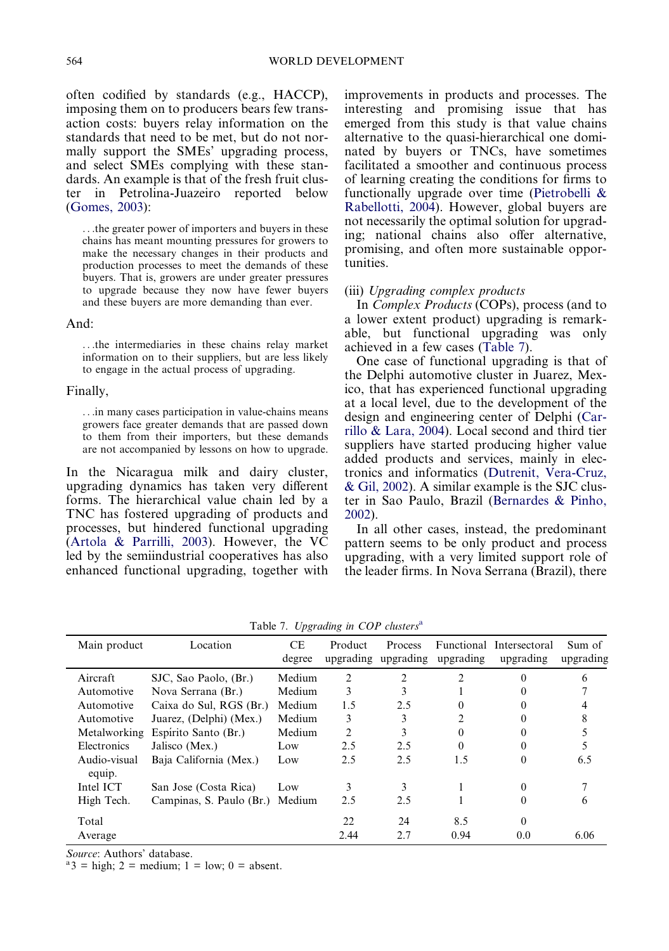often codified by standards (e.g., HACCP), imposing them on to producers bears few transaction costs: buyers relay information on the standards that need to be met, but do not normally support the SMEs' upgrading process, and select SMEs complying with these standards. An example is that of the fresh fruit cluster in Petrolina-Juazeiro reported below [\(Gomes, 2003\)](#page-21-0):

...the greater power of importers and buyers in these chains has meant mounting pressures for growers to make the necessary changes in their products and production processes to meet the demands of these buyers. That is, growers are under greater pressures to upgrade because they now have fewer buyers and these buyers are more demanding than ever.

#### And:

...the intermediaries in these chains relay market information on to their suppliers, but are less likely to engage in the actual process of upgrading.

#### Finally,

...in many cases participation in value-chains means growers face greater demands that are passed down to them from their importers, but these demands are not accompanied by lessons on how to upgrade.

In the Nicaragua milk and dairy cluster, upgrading dynamics has taken very different forms. The hierarchical value chain led by a TNC has fostered upgrading of products and processes, but hindered functional upgrading [\(Artola & Parrilli, 2003\)](#page-19-0). However, the VC led by the semiindustrial cooperatives has also enhanced functional upgrading, together with

improvements in products and processes. The interesting and promising issue that has emerged from this study is that value chains alternative to the quasi-hierarchical one dominated by buyers or TNCs, have sometimes facilitated a smoother and continuous process of learning creating the conditions for firms to functionally upgrade over time [\(Pietrobelli &](#page-22-0) [Rabellotti, 2004\)](#page-22-0). However, global buyers are not necessarily the optimal solution for upgrading; national chains also offer alternative, promising, and often more sustainable opportunities.

#### (iii) Upgrading complex products

In Complex Products (COPs), process (and to a lower extent product) upgrading is remarkable, but functional upgrading was only achieved in a few cases (Table 7).

One case of functional upgrading is that of the Delphi automotive cluster in Juarez, Mexico, that has experienced functional upgrading at a local level, due to the development of the design and engineering center of Delphi [\(Car](#page-20-0)[rillo & Lara, 2004](#page-20-0)). Local second and third tier suppliers have started producing higher value added products and services, mainly in electronics and informatics [\(Dutrenit, Vera-Cruz,](#page-20-0) [& Gil, 2002](#page-20-0)). A similar example is the SJC cluster in Sao Paulo, Brazil ([Bernardes & Pinho,](#page-20-0) [2002](#page-20-0)).

In all other cases, instead, the predominant pattern seems to be only product and process upgrading, with a very limited support role of the leader firms. In Nova Serrana (Brazil), there

| Main product           | Location                        | - 10<br><b>CE</b><br>degree | Product | Process | upgrading upgrading upgrading | Functional Intersectoral<br>upgrading | Sum of<br>upgrading |
|------------------------|---------------------------------|-----------------------------|---------|---------|-------------------------------|---------------------------------------|---------------------|
| Aircraft               | SJC, Sao Paolo, (Br.)           | Medium                      | 2       | 2       | 2                             | 0                                     | 6                   |
| Automotive             | Nova Serrana (Br.)              | Medium                      | 3       | 3       |                               | $^{(1)}$                              |                     |
| Automotive             | Caixa do Sul, RGS (Br.)         | Medium                      | 1.5     | 2.5     | 0                             | 0                                     |                     |
| Automotive             | Juarez, (Delphi) (Mex.)         | Medium                      | 3       | 3       | 2                             |                                       | 8                   |
| Metalworking           | Espírito Santo (Br.)            | Medium                      | 2       | 3       | $\theta$                      | 0                                     |                     |
| Electronics            | Jalisco (Mex.)                  | Low                         | 2.5     | 2.5     | $\Omega$                      | 0                                     |                     |
| Audio-visual<br>equip. | Baja California (Mex.)          | Low                         | 2.5     | 2.5     | 1.5                           | 0                                     | 6.5                 |
| Intel ICT              | San Jose (Costa Rica)           | Low                         | 3       | 3       |                               | $\Omega$                              |                     |
| High Tech.             | Campinas, S. Paulo (Br.) Medium |                             | 2.5     | 2.5     |                               | 0                                     | 6                   |
| Total                  |                                 |                             | 22      | 24      | 8.5                           | $\Omega$                              |                     |
| Average                |                                 |                             | 2.44    | 2.7     | 0.94                          | 0.0                                   | 6.06                |

Table 7. Upgrading in COP clusters<sup>a</sup>

Source: Authors' database.

 $a_3$  = high; 2 = medium; 1 = low; 0 = absent.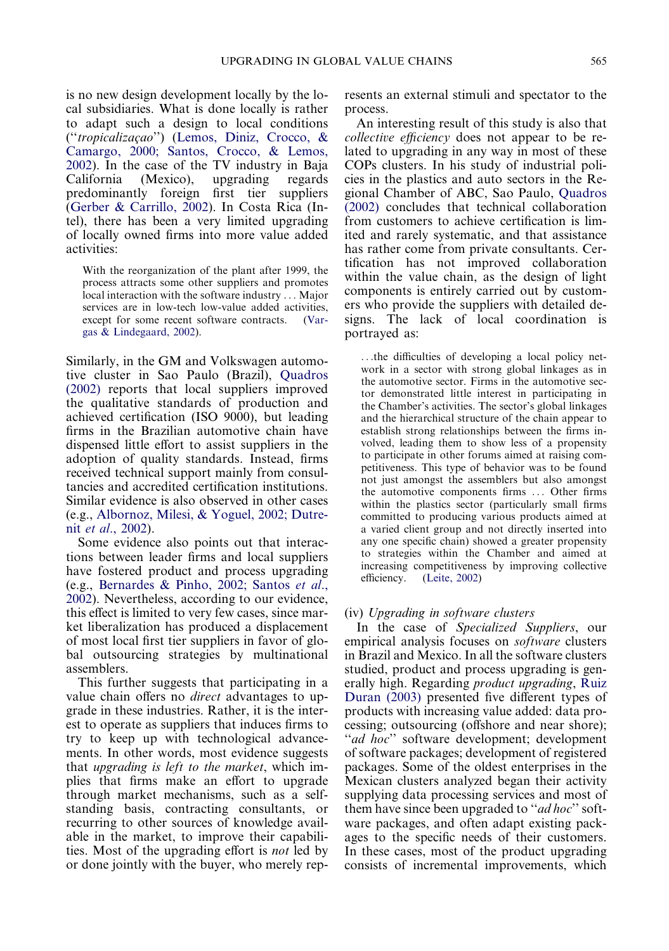is no new design development locally by the local subsidiaries. What is done locally is rather to adapt such a design to local conditions ("tropicalização") ([Lemos, Diniz, Crocco, &](#page-21-0) [Camargo, 2000; Santos, Crocco, & Lemos,](#page-21-0) [2002](#page-21-0)). In the case of the TV industry in Baja California (Mexico), upgrading regards predominantly foreign first tier suppliers [\(Gerber & Carrillo, 2002\)](#page-20-0). In Costa Rica (Intel), there has been a very limited upgrading of locally owned firms into more value added activities:

With the reorganization of the plant after 1999, the process attracts some other suppliers and promotes local interaction with the software industry ... Major services are in low-tech low-value added activities, except for some recent software contracts. [\(Var](#page-22-0)[gas & Lindegaard,2002](#page-22-0)).

Similarly, in the GM and Volkswagen automotive cluster in Sao Paulo (Brazil), [Quadros](#page-22-0) [\(2002\)](#page-22-0) reports that local suppliers improved the qualitative standards of production and achieved certification (ISO 9000), but leading firms in the Brazilian automotive chain have dispensed little effort to assist suppliers in the adoption of quality standards. Instead, firms received technical support mainly from consultancies and accredited certification institutions. Similar evidence is also observed in other cases (e.g., [Albornoz, Milesi, & Yoguel, 2002; Dutre](#page-19-0)nit et al[., 2002](#page-19-0)).

Some evidence also points out that interactions between leader firms and local suppliers have fostered product and process upgrading (e.g., [Bernardes & Pinho, 2002; Santos](#page-20-0) et al., [2002](#page-20-0)). Nevertheless, according to our evidence, this effect is limited to very few cases, since market liberalization has produced a displacement of most local first tier suppliers in favor of global outsourcing strategies by multinational assemblers.

This further suggests that participating in a value chain offers no direct advantages to upgrade in these industries. Rather, it is the interest to operate as suppliers that induces firms to try to keep up with technological advancements. In other words, most evidence suggests that upgrading is left to the market, which implies that firms make an effort to upgrade through market mechanisms, such as a selfstanding basis, contracting consultants, or recurring to other sources of knowledge available in the market, to improve their capabilities. Most of the upgrading effort is not led by or done jointly with the buyer, who merely represents an external stimuli and spectator to the process.

An interesting result of this study is also that collective efficiency does not appear to be related to upgrading in any way in most of these COPs clusters. In his study of industrial policies in the plastics and auto sectors in the Regional Chamber of ABC, Sao Paulo, [Quadros](#page-22-0) [\(2002\)](#page-22-0) concludes that technical collaboration from customers to achieve certification is limited and rarely systematic, and that assistance has rather come from private consultants. Certification has not improved collaboration within the value chain, as the design of light components is entirely carried out by customers who provide the suppliers with detailed designs. The lack of local coordination is portrayed as:

...the difficulties of developing a local policy network in a sector with strong global linkages as in the automotive sector. Firms in the automotive sector demonstrated little interest in participating in the Chamber's activities. The sector's global linkages and the hierarchical structure of the chain appear to establish strong relationships between the firms involved, leading them to show less of a propensity to participate in other forums aimed at raising competitiveness. This type of behavior was to be found not just amongst the assemblers but also amongst the automotive components firms ... Other firms within the plastics sector (particularly small firms committed to producing various products aimed at a varied client group and not directly inserted into any one specific chain) showed a greater propensity to strategies within the Chamber and aimed at increasing competitiveness by improving collective efficiency. (Leite, 2002)

#### (iv) Upgrading in software clusters

In the case of *Specialized Suppliers*, our empirical analysis focuses on software clusters in Brazil and Mexico. In all the software clusters studied, product and process upgrading is generally high. Regarding product upgrading, [Ruiz](#page-22-0) [Duran \(2003\)](#page-22-0) presented five different types of products with increasing value added: data processing; outsourcing (offshore and near shore); "ad hoc" software development; development of software packages; development of registered packages. Some of the oldest enterprises in the Mexican clusters analyzed began their activity supplying data processing services and most of them have since been upgraded to "*ad hoc*" software packages, and often adapt existing packages to the specific needs of their customers. In these cases, most of the product upgrading consists of incremental improvements, which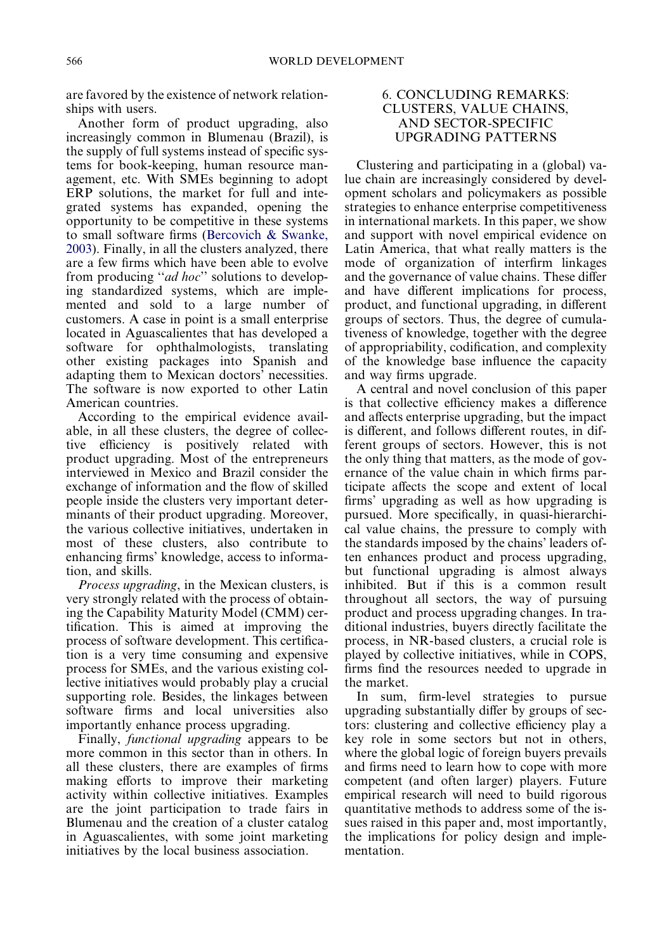are favored by the existence of network relationships with users.

Another form of product upgrading, also increasingly common in Blumenau (Brazil), is the supply of full systems instead of specific systems for book-keeping, human resource management, etc. With SMEs beginning to adopt ERP solutions, the market for full and integrated systems has expanded, opening the opportunity to be competitive in these systems to small software firms ([Bercovich & Swanke,](#page-20-0) [2003](#page-20-0)). Finally, in all the clusters analyzed, there are a few firms which have been able to evolve from producing "ad hoc" solutions to developing standardized systems, which are implemented and sold to a large number of customers. A case in point is a small enterprise located in Aguascalientes that has developed a software for ophthalmologists, translating other existing packages into Spanish and adapting them to Mexican doctors' necessities. The software is now exported to other Latin American countries.

According to the empirical evidence available, in all these clusters, the degree of collective efficiency is positively related with product upgrading. Most of the entrepreneurs interviewed in Mexico and Brazil consider the exchange of information and the flow of skilled people inside the clusters very important determinants of their product upgrading. Moreover, the various collective initiatives, undertaken in most of these clusters, also contribute to enhancing firms' knowledge, access to information, and skills.

Process upgrading, in the Mexican clusters, is very strongly related with the process of obtaining the Capability Maturity Model (CMM) certification. This is aimed at improving the process of software development. This certification is a very time consuming and expensive process for SMEs, and the various existing collective initiatives would probably play a crucial supporting role. Besides, the linkages between software firms and local universities also importantly enhance process upgrading.

Finally, *functional upgrading* appears to be more common in this sector than in others. In all these clusters, there are examples of firms making efforts to improve their marketing activity within collective initiatives. Examples are the joint participation to trade fairs in Blumenau and the creation of a cluster catalog in Aguascalientes, with some joint marketing initiatives by the local business association.

# 6. CONCLUDING REMARKS: CLUSTERS, VALUE CHAINS, AND SECTOR-SPECIFIC UPGRADING PATTERNS

Clustering and participating in a (global) value chain are increasingly considered by development scholars and policymakers as possible strategies to enhance enterprise competitiveness in international markets. In this paper, we show and support with novel empirical evidence on Latin America, that what really matters is the mode of organization of interfirm linkages and the governance of value chains. These differ and have different implications for process, product, and functional upgrading, in different groups of sectors. Thus, the degree of cumulativeness of knowledge, together with the degree of appropriability, codification, and complexity of the knowledge base influence the capacity and way firms upgrade.

A central and novel conclusion of this paper is that collective efficiency makes a difference and affects enterprise upgrading, but the impact is different, and follows different routes, in different groups of sectors. However, this is not the only thing that matters, as the mode of governance of the value chain in which firms participate affects the scope and extent of local firms' upgrading as well as how upgrading is pursued. More specifically, in quasi-hierarchical value chains, the pressure to comply with the standards imposed by the chains' leaders often enhances product and process upgrading, but functional upgrading is almost always inhibited. But if this is a common result throughout all sectors, the way of pursuing product and process upgrading changes. In traditional industries, buyers directly facilitate the process, in NR-based clusters, a crucial role is played by collective initiatives, while in COPS, firms find the resources needed to upgrade in the market.

In sum, firm-level strategies to pursue upgrading substantially differ by groups of sectors: clustering and collective efficiency play a key role in some sectors but not in others, where the global logic of foreign buyers prevails and firms need to learn how to cope with more competent (and often larger) players. Future empirical research will need to build rigorous quantitative methods to address some of the issues raised in this paper and, most importantly, the implications for policy design and implementation.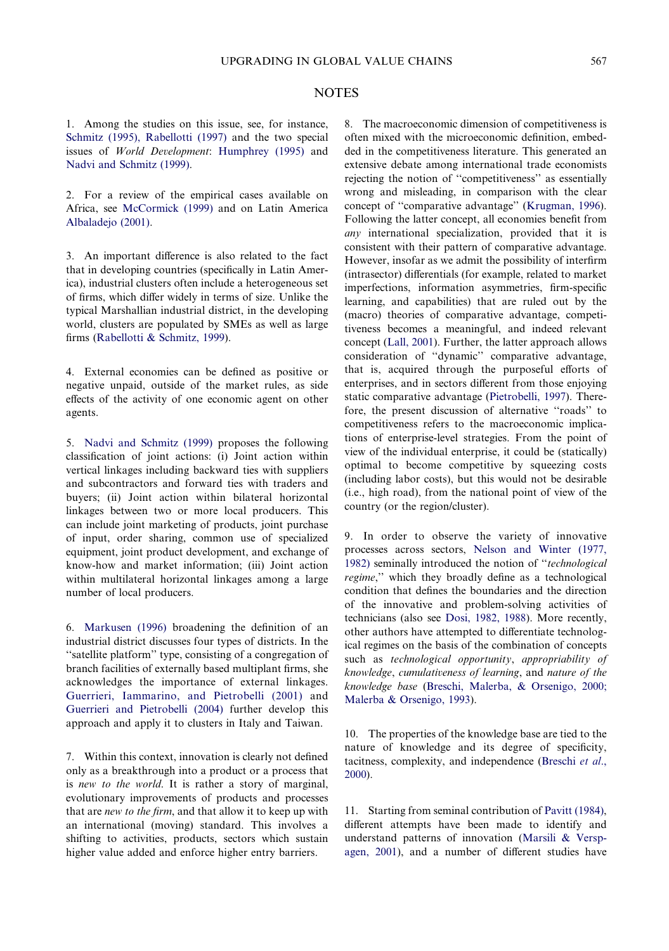## **NOTES**

1. Among the studies on this issue, see, for instance, [Schmitz \(1995\), Rabellotti \(1997\)](#page-22-0) and the two special issues of World Development: [Humphrey \(1995\)](#page-21-0) and [Nadvi and Schmitz \(1999\)](#page-21-0).

2. For a review of the empirical cases available on Africa, see [McCormick \(1999\)](#page-21-0) and on Latin America [Albaladejo \(2001\)](#page-19-0).

3. An important difference is also related to the fact that in developing countries (specifically in Latin America), industrial clusters often include a heterogeneous set of firms, which differ widely in terms of size. Unlike the typical Marshallian industrial district, in the developing world, clusters are populated by SMEs as well as large firms ([Rabellotti & Schmitz, 1999\)](#page-22-0).

4. External economies can be defined as positive or negative unpaid, outside of the market rules, as side effects of the activity of one economic agent on other agents.

5. [Nadvi and Schmitz \(1999\)](#page-21-0) proposes the following classification of joint actions: (i) Joint action within vertical linkages including backward ties with suppliers and subcontractors and forward ties with traders and buyers; (ii) Joint action within bilateral horizontal linkages between two or more local producers. This can include joint marketing of products, joint purchase of input, order sharing, common use of specialized equipment, joint product development, and exchange of know-how and market information; (iii) Joint action within multilateral horizontal linkages among a large number of local producers.

6. [Markusen \(1996\)](#page-21-0) broadening the definition of an industrial district discusses four types of districts. In the ''satellite platform'' type, consisting of a congregation of branch facilities of externally based multiplant firms, she acknowledges the importance of external linkages. [Guerrieri, Iammarino, and Pietrobelli \(2001\)](#page-21-0) and [Guerrieri and Pietrobelli \(2004\)](#page-21-0) further develop this approach and apply it to clusters in Italy and Taiwan.

7. Within this context, innovation is clearly not defined only as a breakthrough into a product or a process that is new to the world. It is rather a story of marginal, evolutionary improvements of products and processes that are new to the firm, and that allow it to keep up with an international (moving) standard. This involves a shifting to activities, products, sectors which sustain higher value added and enforce higher entry barriers.

8. The macroeconomic dimension of competitiveness is often mixed with the microeconomic definition, embedded in the competitiveness literature. This generated an extensive debate among international trade economists rejecting the notion of ''competitiveness'' as essentially wrong and misleading, in comparison with the clear concept of ''comparative advantage'' [\(Krugman, 1996\)](#page-21-0). Following the latter concept, all economies benefit from any international specialization, provided that it is consistent with their pattern of comparative advantage. However, insofar as we admit the possibility of interfirm (intrasector) differentials (for example, related to market imperfections, information asymmetries, firm-specific learning, and capabilities) that are ruled out by the (macro) theories of comparative advantage, competitiveness becomes a meaningful, and indeed relevant concept ([Lall, 2001](#page-21-0)). Further, the latter approach allows consideration of ''dynamic'' comparative advantage, that is, acquired through the purposeful efforts of enterprises, and in sectors different from those enjoying static comparative advantage [\(Pietrobelli, 1997\)](#page-22-0). Therefore, the present discussion of alternative ''roads'' to competitiveness refers to the macroeconomic implications of enterprise-level strategies. From the point of view of the individual enterprise, it could be (statically) optimal to become competitive by squeezing costs (including labor costs), but this would not be desirable (i.e., high road), from the national point of view of the country (or the region/cluster).

9. In order to observe the variety of innovative processes across sectors, [Nelson and Winter \(1977,](#page-21-0) [1982\)](#page-21-0) seminally introduced the notion of ''technological regime,'' which they broadly define as a technological condition that defines the boundaries and the direction of the innovative and problem-solving activities of technicians (also see [Dosi, 1982, 1988\)](#page-20-0). More recently, other authors have attempted to differentiate technological regimes on the basis of the combination of concepts such as *technological opportunity*, *appropriability of* knowledge, cumulativeness of learning, and nature of the knowledge base [\(Breschi, Malerba, & Orsenigo, 2000;](#page-20-0) [Malerba & Orsenigo, 1993](#page-20-0)).

10. The properties of the knowledge base are tied to the nature of knowledge and its degree of specificity, tacitness, complexity, and independence [\(Breschi](#page-20-0) et al., [2000](#page-20-0)).

11. Starting from seminal contribution of [Pavitt \(1984\),](#page-21-0) different attempts have been made to identify and understand patterns of innovation [\(Marsili & Versp](#page-21-0)[agen, 2001\)](#page-21-0), and a number of different studies have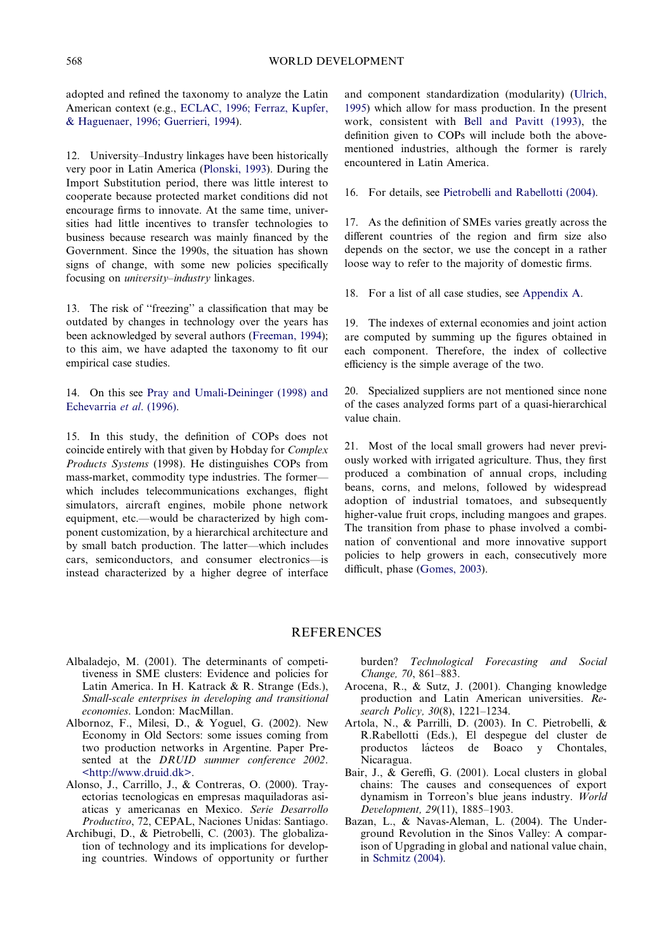<span id="page-19-0"></span>adopted and refined the taxonomy to analyze the Latin American context (e.g., [ECLAC, 1996; Ferraz, Kupfer,](#page-20-0) [& Haguenaer, 1996; Guerrieri, 1994\)](#page-20-0).

12. University–Industry linkages have been historically very poor in Latin America [\(Plonski, 1993](#page-22-0)). During the Import Substitution period, there was little interest to cooperate because protected market conditions did not encourage firms to innovate. At the same time, universities had little incentives to transfer technologies to business because research was mainly financed by the Government. Since the 1990s, the situation has shown signs of change, with some new policies specifically focusing on university–industry linkages.

13. The risk of ''freezing'' a classification that may be outdated by changes in technology over the years has been acknowledged by several authors [\(Freeman, 1994\)](#page-20-0); to this aim, we have adapted the taxonomy to fit our empirical case studies.

14. On this see [Pray and Umali-Deininger \(1998\) and](#page-22-0) [Echevarria](#page-22-0) et al. (1996).

15. In this study, the definition of COPs does not coincide entirely with that given by Hobday for Complex Products Systems (1998). He distinguishes COPs from mass-market, commodity type industries. The former which includes telecommunications exchanges, flight simulators, aircraft engines, mobile phone network equipment, etc.—would be characterized by high component customization, by a hierarchical architecture and by small batch production. The latter—which includes cars, semiconductors, and consumer electronics—is instead characterized by a higher degree of interface and component standardization (modularity) ([Ulrich,](#page-22-0) [1995](#page-22-0)) which allow for mass production. In the present work, consistent with [Bell and Pavitt \(1993\)](#page-20-0), the definition given to COPs will include both the abovementioned industries, although the former is rarely encountered in Latin America.

16. For details, see [Pietrobelli and Rabellotti \(2004\)](#page-22-0).

17. As the definition of SMEs varies greatly across the different countries of the region and firm size also depends on the sector, we use the concept in a rather loose way to refer to the majority of domestic firms.

18. For a list of all case studies, see Appendix A.

19. The indexes of external economies and joint action are computed by summing up the figures obtained in each component. Therefore, the index of collective efficiency is the simple average of the two.

20. Specialized suppliers are not mentioned since none of the cases analyzed forms part of a quasi-hierarchical value chain.

21. Most of the local small growers had never previously worked with irrigated agriculture. Thus, they first produced a combination of annual crops, including beans, corns, and melons, followed by widespread adoption of industrial tomatoes, and subsequently higher-value fruit crops, including mangoes and grapes. The transition from phase to phase involved a combination of conventional and more innovative support policies to help growers in each, consecutively more difficult, phase ([Gomes, 2003](#page-21-0)).

#### **REFERENCES**

- Albaladejo, M. (2001). The determinants of competitiveness in SME clusters: Evidence and policies for Latin America. In H. Katrack & R. Strange (Eds.), Small-scale enterprises in developing and transitional economies. London: MacMillan.
- Albornoz, F., Milesi, D., & Yoguel, G. (2002). New Economy in Old Sectors: some issues coming from two production networks in Argentine. Paper Presented at the DRUID summer conference 2002. [<http://www.druid.dk>.](http://www.druid.dk)
- Alonso, J., Carrillo, J., & Contreras, O. (2000). Trayectorias tecnologicas en empresas maquiladoras asiaticas y americanas en Mexico. Serie Desarrollo Productivo, 72, CEPAL, Naciones Unidas: Santiago.
- Archibugi, D., & Pietrobelli, C. (2003). The globalization of technology and its implications for developing countries. Windows of opportunity or further

burden? Technological Forecasting and Social Change, 70, 861–883.

- Arocena, R., & Sutz, J. (2001). Changing knowledge production and Latin American universities. Research Policy, 30(8), 1221–1234.
- Artola, N., & Parrilli, D. (2003). In C. Pietrobelli, & R.Rabellotti (Eds.), El despegue del cluster de productos lácteos de Boaco y Chontales, Nicaragua.
- Bair, J., & Gereffi, G. (2001). Local clusters in global chains: The causes and consequences of export dynamism in Torreon's blue jeans industry. World Development, 29(11), 1885–1903.
- Bazan, L., & Navas-Aleman, L. (2004). The Underground Revolution in the Sinos Valley: A comparison of Upgrading in global and national value chain, in [Schmitz \(2004\)](#page-22-0).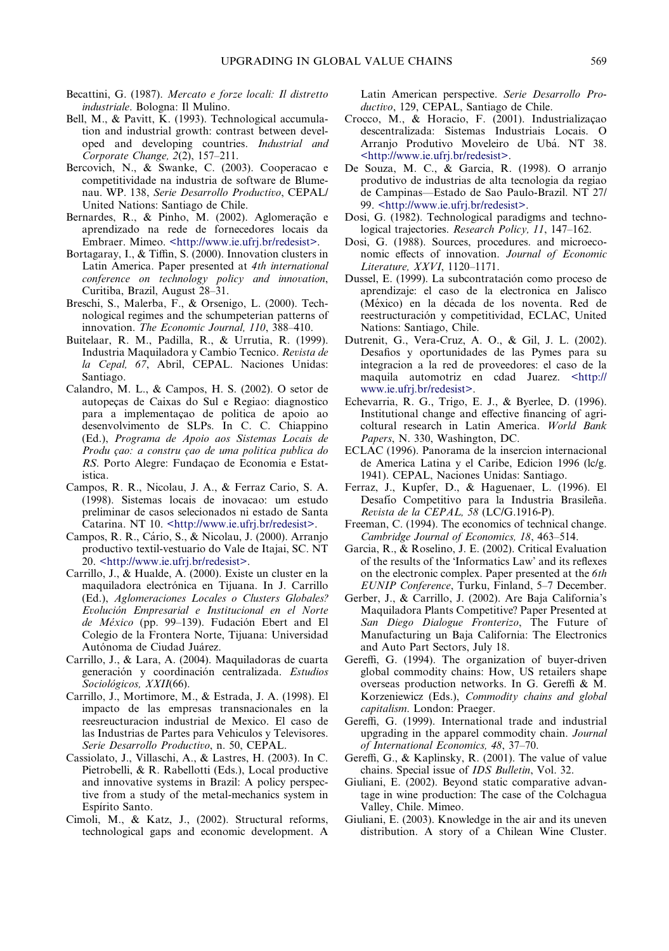- <span id="page-20-0"></span>Becattini, G. (1987). Mercato e forze locali: Il distretto industriale. Bologna: Il Mulino.
- Bell, M., & Pavitt, K. (1993). Technological accumulation and industrial growth: contrast between developed and developing countries. Industrial and Corporate Change, 2(2), 157–211.
- Bercovich, N., & Swanke, C. (2003). Cooperacao e competitividade na industria de software de Blumenau. WP. 138, Serie Desarrollo Productivo, CEPAL/ United Nations: Santiago de Chile.
- Bernardes, R., & Pinho, M. (2002). Aglomeração e aprendizado na rede de fornecedores locais da Embraer. Mimeo. [<http://www.ie.ufrj.br/redesist>](http://www.ie.ufrj.br/redesist).
- Bortagaray, I., & Tiffin, S. (2000). Innovation clusters in Latin America. Paper presented at 4th international conference on technology policy and innovation, Curitiba, Brazil, August 28–31.
- Breschi, S., Malerba, F., & Orsenigo, L. (2000). Technological regimes and the schumpeterian patterns of innovation. The Economic Journal, 110, 388–410.
- Buitelaar, R. M., Padilla, R., & Urrutia, R. (1999). Industria Maquiladora y Cambio Tecnico. Revista de la Cepal, 67, Abril, CEPAL. Naciones Unidas: Santiago.
- Calandro, M. L., & Campos, H. S. (2002). O setor de autopeças de Caixas do Sul e Regiao: diagnostico para a implementação de política de apoio ao desenvolvimento de SLPs. In C. C. Chiappino (Ed.), Programa de Apoio aos Sistemas Locais de Produ cao: a constru cao de uma politica publica do RS. Porto Alegre: Fundação de Economia e Estatistica.
- Campos, R. R., Nicolau, J. A., & Ferraz Cario, S. A. (1998). Sistemas locais de inovacao: um estudo preliminar de casos selecionados ni estado de Santa Catarina. NT 10. [<http://www.ie.ufrj.br/redesist>.](http://www.ie.ufrj.br/redesist)
- Campos, R. R., Cário, S., & Nicolau, J. (2000). Arranjo productivo textil-vestuario do Vale de Itajai, SC. NT 20. [<http://www.ie.ufrj.br/redesist>](http://www.ie.ufrj.br/redesist).
- Carrillo, J., & Hualde, A. (2000). Existe un cluster en la maquiladora electrónica en Tijuana. In J. Carrillo (Ed.), Aglomeraciones Locales o Clusters Globales? Evolucio´n Empresarial e Institucional en el Norte de México (pp. 99-139). Fudación Ebert and El Colegio de la Frontera Norte, Tijuana: Universidad Autónoma de Ciudad Juárez.
- Carrillo, J., & Lara, A. (2004). Maquiladoras de cuarta generación y coordinación centralizada. Estudios Sociológicos, XXII(66).
- Carrillo, J., Mortimore, M., & Estrada, J. A. (1998). El impacto de las empresas transnacionales en la reesreucturacion industrial de Mexico. El caso de las Industrias de Partes para Vehiculos y Televisores. Serie Desarrollo Productivo, n. 50, CEPAL.
- Cassiolato, J., Villaschi, A., & Lastres, H. (2003). In C. Pietrobelli, & R. Rabellotti (Eds.), Local productive and innovative systems in Brazil: A policy perspective from a study of the metal-mechanics system in Espírito Santo.
- Cimoli, M., & Katz, J., (2002). Structural reforms, technological gaps and economic development. A

Latin American perspective. Serie Desarrollo Productivo, 129, CEPAL, Santiago de Chile.

- Crocco, M., & Horacio, F. (2001). Industrialização descentralizada: Sistemas Industriais Locais. O Arranjo Produtivo Moveleiro de Ubá. NT 38. [<http://www.ie.ufrj.br/redesist>.](http://www.ie.ufrj.br/redesist)
- De Souza, M. C., & Garcia, R. (1998). O arranjo produtivo de industrias de alta tecnologia da regiao de Campinas—Estado de Sao Paulo-Brazil. NT 27/ 99. [<http://www.ie.ufrj.br/redesist>.](http://www.ie.ufrj.br/redesist)
- Dosi, G. (1982). Technological paradigms and technological trajectories. Research Policy, 11, 147–162.
- Dosi, G. (1988). Sources, procedures. and microeconomic effects of innovation. Journal of Economic Literature, XXVI, 1120–1171.
- Dussel, E. (1999). La subcontratación como proceso de aprendizaje: el caso de la electronica en Jalisco (México) en la década de los noventa. Red de reestructuración y competitividad, ECLAC, United Nations: Santiago, Chile.
- Dutrenit, G., Vera-Cruz, A. O., & Gil, J. L. (2002). Desafios y oportunidades de las Pymes para su integracion a la red de proveedores: el caso de la maquila automotriz en cdad Juarez. [<http://](http://www.ie.ufrj.br/redesist) [www.ie.ufrj.br/redesist>.](http://www.ie.ufrj.br/redesist)
- Echevarria, R. G., Trigo, E. J., & Byerlee, D. (1996). Institutional change and effective financing of agricoltural research in Latin America. World Bank Papers, N. 330, Washington, DC.
- ECLAC (1996). Panorama de la insercion internacional de America Latina y el Caribe, Edicion 1996 (lc/g. 1941). CEPAL, Naciones Unidas: Santiago.
- Ferraz, J., Kupfer, D., & Haguenaer, L. (1996). El Desafío Competitivo para la Industria Brasileña. Revista de la CEPAL, 58 (LC/G.1916-P).
- Freeman, C. (1994). The economics of technical change. Cambridge Journal of Economics, 18, 463–514.
- Garcia, R., & Roselino, J. E. (2002). Critical Evaluation of the results of the Informatics Law' and its reflexes on the electronic complex. Paper presented at the 6th EUNIP Conference, Turku, Finland, 5–7 December.
- Gerber, J., & Carrillo, J. (2002). Are Baja California's Maquiladora Plants Competitive? Paper Presented at San Diego Dialogue Fronterizo, The Future of Manufacturing un Baja California: The Electronics and Auto Part Sectors, July 18.
- Gereffi, G. (1994). The organization of buyer-driven global commodity chains: How, US retailers shape overseas production networks. In G. Gereffi & M. Korzeniewicz (Eds.), Commodity chains and global capitalism. London: Praeger.
- Gereffi, G. (1999). International trade and industrial upgrading in the apparel commodity chain. Journal of International Economics, 48, 37–70.
- Gereffi, G., & Kaplinsky, R. (2001). The value of value chains. Special issue of IDS Bulletin, Vol. 32.
- Giuliani, E. (2002). Beyond static comparative advantage in wine production: The case of the Colchagua Valley, Chile. Mimeo.
- Giuliani, E. (2003). Knowledge in the air and its uneven distribution. A story of a Chilean Wine Cluster.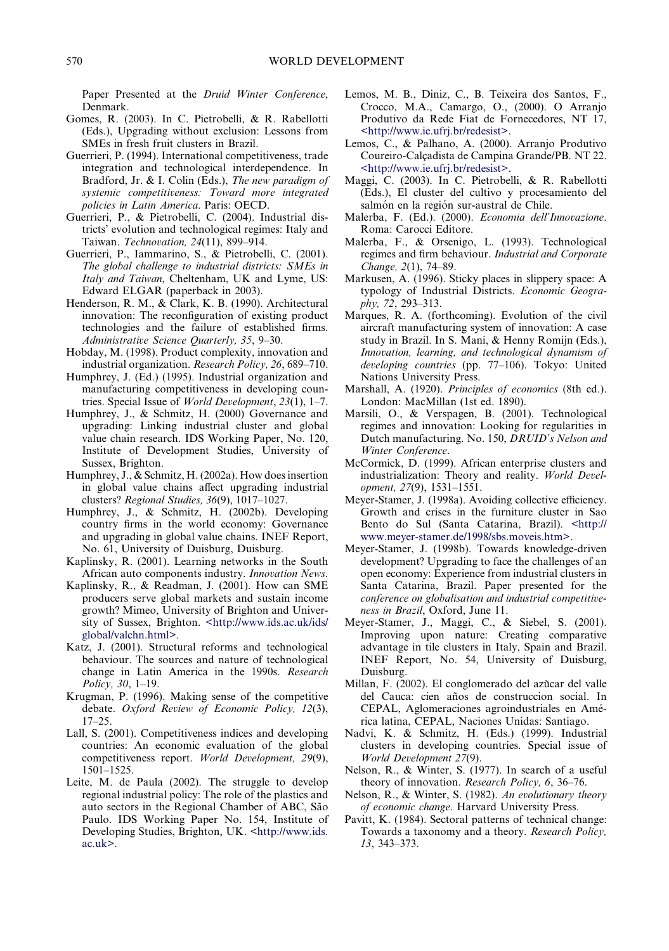<span id="page-21-0"></span>Paper Presented at the Druid Winter Conference, Denmark.

- Gomes, R. (2003). In C. Pietrobelli, & R. Rabellotti (Eds.), Upgrading without exclusion: Lessons from SMEs in fresh fruit clusters in Brazil.
- Guerrieri, P. (1994). International competitiveness, trade integration and technological interdependence. In Bradford, Jr. & I. Colin (Eds.), The new paradigm of systemic competitiveness: Toward more integrated policies in Latin America. Paris: OECD.
- Guerrieri, P., & Pietrobelli, C. (2004). Industrial districts' evolution and technological regimes: Italy and Taiwan. Technovation, 24(11), 899–914.
- Guerrieri, P., Iammarino, S., & Pietrobelli, C. (2001). The global challenge to industrial districts: SMEs in Italy and Taiwan, Cheltenham, UK and Lyme, US: Edward ELGAR (paperback in 2003).
- Henderson, R. M., & Clark, K. B. (1990). Architectural innovation: The reconfiguration of existing product technologies and the failure of established firms. Administrative Science Quarterly, 35, 9–30.
- Hobday, M. (1998). Product complexity, innovation and industrial organization. Research Policy, 26, 689–710.
- Humphrey, J. (Ed.) (1995). Industrial organization and manufacturing competitiveness in developing countries. Special Issue of *World Development*, 23(1), 1–7.
- Humphrey, J., & Schmitz, H. (2000) Governance and upgrading: Linking industrial cluster and global value chain research. IDS Working Paper, No. 120, Institute of Development Studies, University of Sussex, Brighton.
- Humphrey, J., & Schmitz, H. (2002a). How does insertion in global value chains affect upgrading industrial clusters? Regional Studies, 36(9), 1017–1027.
- Humphrey, J., & Schmitz, H. (2002b). Developing country firms in the world economy: Governance and upgrading in global value chains. INEF Report, No. 61, University of Duisburg, Duisburg.
- Kaplinsky, R. (2001). Learning networks in the South African auto components industry. Innovation News.
- Kaplinsky, R., & Readman, J. (2001). How can SME producers serve global markets and sustain income growth? Mimeo, University of Brighton and Univer-sity of Sussex, Brighton. [<http://www.ids.ac.uk/ids/](http://www.ids.ac.uk/ids/global/valchn.html) [global/valchn.html>.](http://www.ids.ac.uk/ids/global/valchn.html)
- Katz, J. (2001). Structural reforms and technological behaviour. The sources and nature of technological change in Latin America in the 1990s. Research Policy, 30, 1–19.
- Krugman, P. (1996). Making sense of the competitive debate. Oxford Review of Economic Policy, 12(3), 17–25.
- Lall, S. (2001). Competitiveness indices and developing countries: An economic evaluation of the global competitiveness report. World Development, 29(9), 1501–1525.
- Leite, M. de Paula (2002). The struggle to develop regional industrial policy: The role of the plastics and auto sectors in the Regional Chamber of ABC, São Paulo. IDS Working Paper No. 154, Institute of Developing Studies, Brighton, UK. <[http://www.ids.](http://www.ids.ac.uk) [ac.uk>.](http://www.ids.ac.uk)
- Lemos, M. B., Diniz, C., B. Teixeira dos Santos, F., Crocco, M.A., Camargo, O., (2000). O Arranjo Produtivo da Rede Fiat de Fornecedores, NT 17, [<http://www.ie.ufrj.br/redesist>.](http://www.ie.ufrj.br/redesist)
- Lemos, C., & Palhano, A. (2000). Arranjo Produtivo Coureiro-Calcadista de Campina Grande/PB. NT 22. [<http://www.ie.ufrj.br/redesist>.](http://www.ie.ufrj.br/redesist)
- Maggi, C. (2003). In C. Pietrobelli, & R. Rabellotti (Eds.), El cluster del cultivo y procesamiento del salmón en la región sur-austral de Chile.
- Malerba, F. (Ed.). (2000). Economia dell'Innovazione. Roma: Carocci Editore.
- Malerba, F., & Orsenigo, L. (1993). Technological regimes and firm behaviour. Industrial and Corporate Change, 2(1), 74–89.
- Markusen, A. (1996). Sticky places in slippery space: A typology of Industrial Districts. Economic Geography, 72, 293–313.
- Marques, R. A. (forthcoming). Evolution of the civil aircraft manufacturing system of innovation: A case study in Brazil. In S. Mani, & Henny Romijn (Eds.), Innovation, learning, and technological dynamism of developing countries (pp. 77–106). Tokyo: United Nations University Press.
- Marshall, A. (1920). Principles of economics (8th ed.). London: MacMillan (1st ed. 1890).
- Marsili, O., & Verspagen, B. (2001). Technological regimes and innovation: Looking for regularities in Dutch manufacturing. No. 150, DRUID's Nelson and Winter Conference.
- McCormick, D. (1999). African enterprise clusters and industrialization: Theory and reality. World Development, 27(9), 1531–1551.
- Meyer-Stamer, J. (1998a). Avoiding collective efficiency. Growth and crises in the furniture cluster in Sao Bento do Sul (Santa Catarina, Brazil). [<http://](http://www.meyer-stamer.de/1998/sbs.moveis.htm) [www.meyer-stamer.de/1998/sbs.moveis.htm>.](http://www.meyer-stamer.de/1998/sbs.moveis.htm)
- Meyer-Stamer, J. (1998b). Towards knowledge-driven development? Upgrading to face the challenges of an open economy: Experience from industrial clusters in Santa Catarina, Brazil. Paper presented for the conference on globalisation and industrial competitiveness in Brazil, Oxford, June 11.
- Meyer-Stamer, J., Maggi, C., & Siebel, S. (2001). Improving upon nature: Creating comparative advantage in tile clusters in Italy, Spain and Brazil. INEF Report, No. 54, University of Duisburg, Duisburg.
- Millan, F. (2002). El conglomerado del azũcar del valle del Cauca: cien años de construccion social. In CEPAL, Aglomeraciones agroindustriales en Ame´ rica latina, CEPAL, Naciones Unidas: Santiago.
- Nadvi, K. & Schmitz, H. (Eds.) (1999). Industrial clusters in developing countries. Special issue of World Development 27(9).
- Nelson, R., & Winter, S. (1977). In search of a useful theory of innovation. Research Policy, 6, 36–76.
- Nelson, R., & Winter, S. (1982). An evolutionary theory of economic change. Harvard University Press.
- Pavitt, K. (1984). Sectoral patterns of technical change: Towards a taxonomy and a theory. Research Policy, 13, 343–373.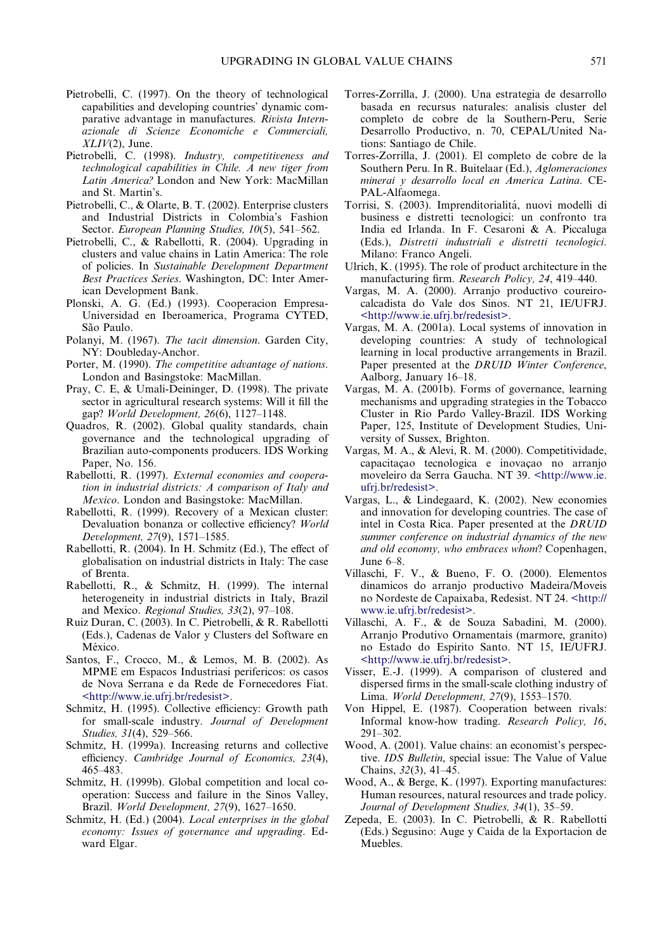- <span id="page-22-0"></span>Pietrobelli, C. (1997). On the theory of technological capabilities and developing countries' dynamic comparative advantage in manufactures. Rivista Internazionale di Scienze Economiche e Commerciali,  $XLIV(2)$ , June.
- Pietrobelli, C. (1998). Industry, competitiveness and technological capabilities in Chile.  $\overline{A}$  new tiger from Latin America? London and New York: MacMillan and St. Martin's.
- Pietrobelli, C., & Olarte, B. T. (2002). Enterprise clusters and Industrial Districts in Colombia's Fashion Sector. European Planning Studies, 10(5), 541-562.
- Pietrobelli, C., & Rabellotti, R. (2004). Upgrading in clusters and value chains in Latin America: The role of policies. In Sustainable Development Department Best Practices Series. Washington, DC: Inter American Development Bank.
- Plonski, A. G. (Ed.) (1993). Cooperacion Empresa-Universidad en Iberoamerica, Programa CYTED, São Paulo.
- Polanyi, M. (1967). The tacit dimension. Garden City, NY: Doubleday-Anchor.
- Porter, M. (1990). The competitive advantage of nations. London and Basingstoke: MacMillan.
- Pray, C. E, & Umali-Deininger, D. (1998). The private sector in agricultural research systems: Will it fill the gap? World Development, 26(6), 1127–1148.
- Quadros, R. (2002). Global quality standards, chain governance and the technological upgrading of Brazilian auto-components producers. IDS Working Paper, No. 156.
- Rabellotti, R. (1997). External economies and cooperation in industrial districts: A comparison of Italy and Mexico. London and Basingstoke: MacMillan.
- Rabellotti, R. (1999). Recovery of a Mexican cluster: Devaluation bonanza or collective efficiency? World Development, 27(9), 1571–1585.
- Rabellotti, R. (2004). In H. Schmitz (Ed.), The effect of globalisation on industrial districts in Italy: The case of Brenta.
- Rabellotti, R., & Schmitz, H. (1999). The internal heterogeneity in industrial districts in Italy, Brazil and Mexico. Regional Studies, 33(2), 97–108.
- Ruiz Duran, C. (2003). In C. Pietrobelli, & R. Rabellotti (Eds.), Cadenas de Valor y Clusters del Software en México
- Santos, F., Crocco, M., & Lemos, M. B. (2002). As MPME em Espacos Industriasi perifericos: os casos de Nova Serrana e da Rede de Fornecedores Fiat. [<http://www.ie.ufrj.br/redesist>.](http://www.ie.ufrj.br/redesist)
- Schmitz, H. (1995). Collective efficiency: Growth path for small-scale industry. Journal of Development Studies, 31(4), 529–566.
- Schmitz, H. (1999a). Increasing returns and collective efficiency. Cambridge Journal of Economics, 23(4), 465–483.
- Schmitz, H. (1999b). Global competition and local cooperation: Success and failure in the Sinos Valley, Brazil. World Development, 27(9), 1627–1650.
- Schmitz, H. (Ed.) (2004). Local enterprises in the global economy: Issues of governance and upgrading. Edward Elgar.
- Torres-Zorrilla, J. (2000). Una estrategia de desarrollo basada en recursus naturales: analisis cluster del completo de cobre de la Southern-Peru, Serie Desarrollo Productivo, n. 70, CEPAL/United Nations: Santiago de Chile.
- Torres-Zorrilla, J. (2001). El completo de cobre de la Southern Peru. In R. Buitelaar (Ed.), Aglomeraciones minerai y desarrollo local en America Latina. CE-PAL-Alfaomega.
- Torrisi, S. (2003). Imprenditorialita´, nuovi modelli di business e distretti tecnologici: un confronto tra India ed Irlanda. In F. Cesaroni & A. Piccaluga (Eds.), Distretti industriali e distretti tecnologici. Milano: Franco Angeli.
- Ulrich, K. (1995). The role of product architecture in the manufacturing firm. Research Policy, 24, 419–440.
- Vargas, M. A. (2000). Arranjo productivo coureirocalcadista do Vale dos Sinos. NT 21, IE/UFRJ. [<http://www.ie.ufrj.br/redesist>.](http://www.ie.ufrj.br/redesist)
- Vargas, M. A. (2001a). Local systems of innovation in developing countries: A study of technological learning in local productive arrangements in Brazil. Paper presented at the DRUID Winter Conference, Aalborg, January 16–18.
- Vargas, M. A. (2001b). Forms of governance, learning mechanisms and upgrading strategies in the Tobacco Cluster in Rio Pardo Valley-Brazil. IDS Working Paper, 125, Institute of Development Studies, University of Sussex, Brighton.
- Vargas, M. A., & Alevi, R. M. (2000). Competitividade, capacitação tecnologica e inovação no arranjo moveleiro da Serra Gaucha. NT 39. [<http://www.ie.](http://www.ie.ufrj.br/redesist) [ufrj.br/redesist>.](http://www.ie.ufrj.br/redesist)
- Vargas, L., & Lindegaard, K. (2002). New economies and innovation for developing countries. The case of intel in Costa Rica. Paper presented at the DRUID summer conference on industrial dynamics of the new and old economy, who embraces whom? Copenhagen, June 6–8.
- Villaschi, F. V., & Bueno, F. O. (2000). Elementos dinamicos do arranjo productivo Madeira/Moveis no Nordeste de Capaixaba, Redesist. NT 24. [<http://](http://www.ie.ufrj.br/redesist) [www.ie.ufrj.br/redesist>.](http://www.ie.ufrj.br/redesist)
- Villaschi, A. F., & de Souza Sabadini, M. (2000). Arranjo Produtivo Ornamentais (marmore, granito) no Estado do Espirito Santo. NT 15, IE/UFRJ. [<http://www.ie.ufrj.br/redesist>.](http://www.ie.ufrj.br/redesist)
- Visser, E.-J. (1999). A comparison of clustered and dispersed firms in the small-scale clothing industry of Lima. World Development, 27(9), 1553–1570.
- Von Hippel, E. (1987). Cooperation between rivals: Informal know-how trading. Research Policy, 16, 291–302.
- Wood, A. (2001). Value chains: an economist's perspective. IDS Bulletin, special issue: The Value of Value Chains, 32(3), 41–45.
- Wood, A., & Berge, K. (1997). Exporting manufactures: Human resources, natural resources and trade policy. Journal of Development Studies, 34(1), 35–59.
- Zepeda, E. (2003). In C. Pietrobelli, & R. Rabellotti (Eds.) Segusino: Auge y Caida de la Exportacion de Muebles.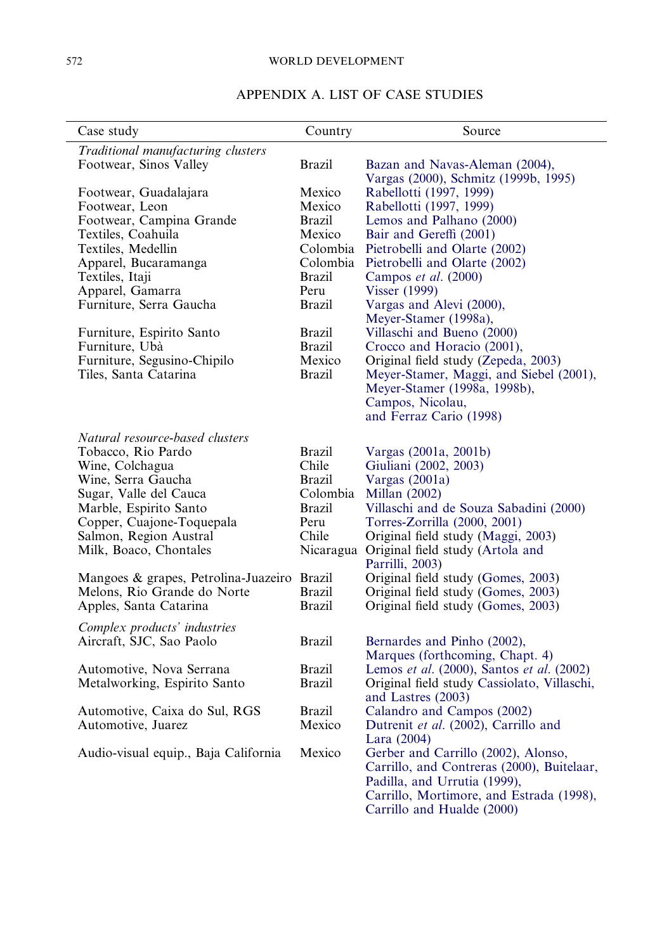#### 572 WORLD DEVELOPMENT

# Case study Country Country Source Traditional manufacturing clusters Footwear, Sinos Valley Brazil [Bazan and Navas-Aleman \(2004\),](#page-19-0) [Vargas \(2000\), Schmitz \(1999b, 1995\)](#page-19-0) Footwear, Guadalajara Mexico Footwear, Leon **Mexico** [Rabellotti \(1997, 1999\)](#page-22-0)<br>Footwear, Campina Grande **Brazil** Lemos and Palhano (20 Lemos and Palhano  $(2000)$ Textiles, Coahuila **Mexico** [Bair and Gereffi \(2001\)](#page-19-0)<br>Textiles, Medellin Colombia Pietrobelli and Olarte ( Textiles, Medellin Colombia [Pietrobelli and Olarte \(2002\)](#page-22-0) Colombia [Pietrobelli and Olarte \(2002\)](#page-22-0) Textiles, Itaji **Brazil** [Campos](#page-20-0) *et al.* (2000)<br>
Apparel, Gamarra **Brazil** Peru Visser (1999) Apparel, Gamarra *Peru*<br>Purniture. Serra Gaucha *Perazil* [Vargas and Alevi \(2000\),](#page-22-0) [Meyer-Stamer \(1998a\),](#page-22-0)<br>Villaschi and Bueno (2000) Furniture, Espirito Santo (2000) Brazil Furniture, Ubà<br>Furniture, Segusino-Chipilo (2001), Brazil [Crocco and Horacio \(2001\)](#page-20-0), Purniture, Segusino-Chipilo Furniture, Segusino-Chipilo Mexico Original field study ([Zepeda, 2003](#page-22-0))<br>Tiles, Santa Catarina Brazil Mever-Stamer, Maggi, and Siebel ( [Meyer-Stamer, Maggi, and Siebel \(2001\),](#page-21-0) [Meyer-Stamer \(1998a, 1998b\)](#page-21-0), [Campos, Nicolau,](#page-20-0) [and Ferraz Cario \(1998\)](#page-20-0) Natural resource-based clusters<br>Tobacco, Rio Pardo Brazil [Vargas \(2001a, 2001b\)](#page-22-0)<br>Chile Giuliani (2002, 2003) Wine, Colchagua Chile [Giuliani \(2002, 2003\)](#page-20-0) Wine, Serra Gaucha Brazil [Vargas \(2001a\)](#page-22-0) Sugar, Valle del Cauca Colombia [Millan \(2002\)](#page-21-0) Brazil [Villaschi and de Souza Sabadini \(2000\)](#page-22-0)<br>Peru Torres-Zorrilla (2000, 2001) Copper, Cuajone-Toquepala Salmon, Region Austral Chile Original field study ([Maggi, 2003](#page-21-0)) Milk, Boaco, Chontales Nicaragua Original field study ([Artola and](#page-19-0) [Parrilli, 2003](#page-19-0))<br>Original field study (Gomes, 2003) Mangoes & grapes, Petrolina-Juazeiro Brazil Melons, Rio Grande do Norte Brazil Driginal field study ([Gomes, 2003\)](#page-21-0)<br>
Apples, Santa Catarina Brazil Driginal field study (Gomes, 2003) Original field study ([Gomes, 2003\)](#page-21-0) Complex products' industries Brazil [Bernardes and Pinho \(2002\),](#page-20-0) [Marques \(forthcoming, Chapt. 4\)](#page-20-0) Automotive, Nova Serrana Brazil Lemos et al[. \(2000\), Santos](#page-21-0) et al. (2002)<br>Metalworking, Espirito Santo Brazil Original field study Cassiolato, Villaschi. Original field study [Cassiolato, Villaschi,](#page-20-0) [and Lastres \(2003\)](#page-20-0) Automotive, Caixa do Sul, RGS Brazil [Calandro and Campos \(2002\)](#page-20-0) Dutrenit et al[. \(2002\), Carrillo and](#page-20-0) [Lara \(2004\)](#page-20-0)<br>Gerber and Carrillo (2002), Alonso, Audio-visual equip., Baja California Mexico [Carrillo, and Contreras \(2000\)](#page-20-0), [Buitelaar,](#page-20-0) [Padilla, and Urrutia \(1999\),](#page-20-0) [Carrillo, Mortimore, and Estrada \(1998\),](#page-20-0) [Carrillo and Hualde \(2000\)](#page-20-0)

# APPENDIX A. LIST OF CASE STUDIES